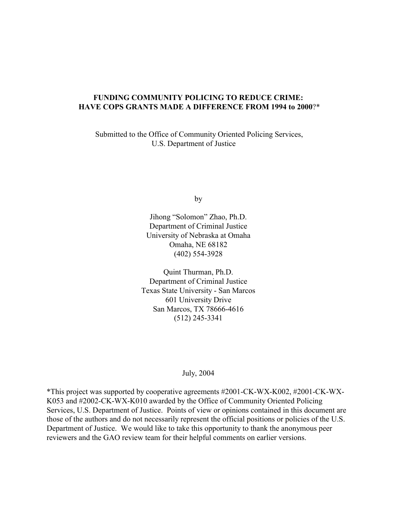## **FUNDING COMMUNITY POLICING TO REDUCE CRIME: HAVE COPS GRANTS MADE A DIFFERENCE FROM 1994 to 2000**?\*

 Submitted to the Office of Community Oriented Policing Services, U.S. Department of Justice

by

Jihong "Solomon" Zhao, Ph.D. Department of Criminal Justice University of Nebraska at Omaha Omaha, NE 68182 (402) 554-3928

Quint Thurman, Ph.D. Department of Criminal Justice Texas State University - San Marcos 601 University Drive San Marcos, TX 78666-4616 (512) 245-3341

#### July, 2004

\*This project was supported by cooperative agreements #2001-CK-WX-K002, #2001-CK-WX-K053 and #2002-CK-WX-K010 awarded by the Office of Community Oriented Policing Services, U.S. Department of Justice. Points of view or opinions contained in this document are those of the authors and do not necessarily represent the official positions or policies of the U.S. Department of Justice. We would like to take this opportunity to thank the anonymous peer reviewers and the GAO review team for their helpful comments on earlier versions.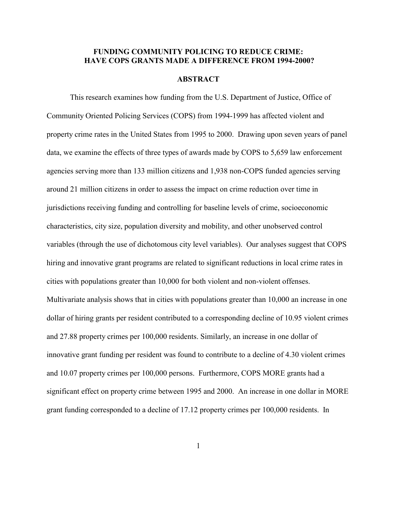## **FUNDING COMMUNITY POLICING TO REDUCE CRIME: HAVE COPS GRANTS MADE A DIFFERENCE FROM 1994-2000?**

#### **ABSTRACT**

This research examines how funding from the U.S. Department of Justice, Office of Community Oriented Policing Services (COPS) from 1994-1999 has affected violent and property crime rates in the United States from 1995 to 2000. Drawing upon seven years of panel data, we examine the effects of three types of awards made by COPS to 5,659 law enforcement agencies serving more than 133 million citizens and 1,938 non-COPS funded agencies serving around 21 million citizens in order to assess the impact on crime reduction over time in jurisdictions receiving funding and controlling for baseline levels of crime, socioeconomic characteristics, city size, population diversity and mobility, and other unobserved control variables (through the use of dichotomous city level variables). Our analyses suggest that COPS hiring and innovative grant programs are related to significant reductions in local crime rates in cities with populations greater than 10,000 for both violent and non-violent offenses. Multivariate analysis shows that in cities with populations greater than 10,000 an increase in one dollar of hiring grants per resident contributed to a corresponding decline of 10.95 violent crimes and 27.88 property crimes per 100,000 residents. Similarly, an increase in one dollar of innovative grant funding per resident was found to contribute to a decline of 4.30 violent crimes and 10.07 property crimes per 100,000 persons. Furthermore, COPS MORE grants had a significant effect on property crime between 1995 and 2000. An increase in one dollar in MORE grant funding corresponded to a decline of 17.12 property crimes per 100,000 residents. In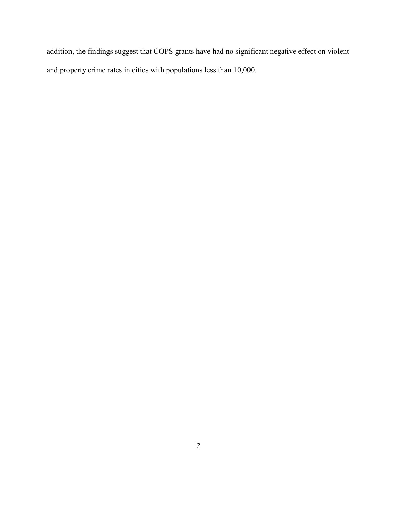addition, the findings suggest that COPS grants have had no significant negative effect on violent and property crime rates in cities with populations less than 10,000.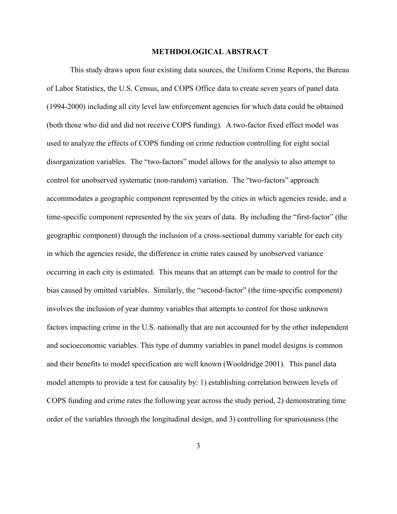#### **METHDOLOGICAL ABSTRACT**

This study draws upon four existing data sources, the Uniform Crime Reports, the Bureau of Labor Statistics, the U.S. Census, and COPS Office data to create seven years of panel data (1994-2000) including all city level law enforcement agencies for which data could be obtained (both those who did and did not receive COPS funding). A two-factor fixed effect model was used to analyze the effects of COPS funding on crime reduction controlling for eight social disorganization variables. The "two-factors" model allows for the analysis to also attempt to control for unobserved systematic (non-random) variation. The "two-factors" approach accommodates a geographic component represented by the cities in which agencies reside, and a time-specific component represented by the six years of data. By including the "first-factor" (the geographic component) through the inclusion of a cross-sectional dummy variable for each city in which the agencies reside, the difference in crime rates caused by unobserved variance occurring in each city is estimated. This means that an attempt can be made to control for the bias caused by omitted variables. Similarly, the "second-factor" (the time-specific component) involves the inclusion of year dummy variables that attempts to control for those unknown factors impacting crime in the U.S. nationally that are not accounted for by the other independent and socioeconomic variables. This type of dummy variables in panel model designs is common and their benefits to model specification are well known (Wooldridge 2001). This panel data model attempts to provide a test for causality by: 1) establishing correlation between levels of COPS funding and crime rates the following year across the study period, 2) demonstrating time order of the variables through the longitudinal design, and 3) controlling for spuriousness (the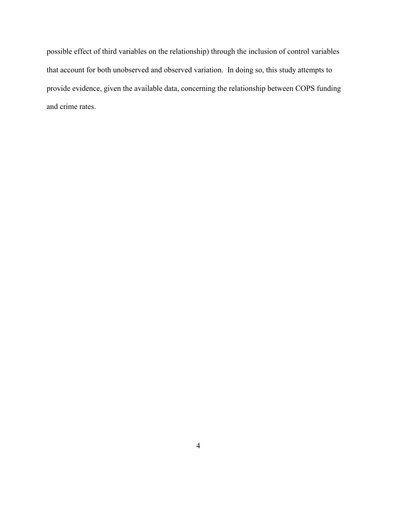possible effect of third variables on the relationship) through the inclusion of control variables that account for both unobserved and observed variation. In doing so, this study attempts to provide evidence, given the available data, concerning the relationship between COPS funding and crime rates.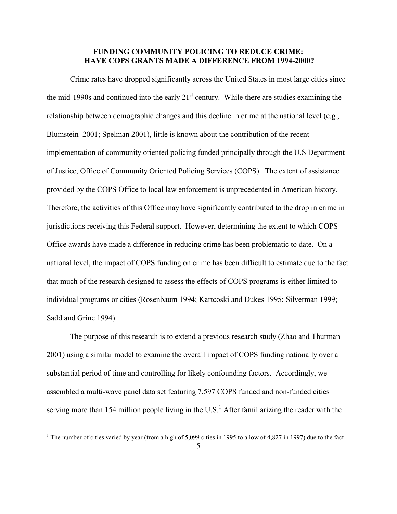## **FUNDING COMMUNITY POLICING TO REDUCE CRIME: HAVE COPS GRANTS MADE A DIFFERENCE FROM 1994-2000?**

Crime rates have dropped significantly across the United States in most large cities since the mid-1990s and continued into the early  $21<sup>st</sup>$  century. While there are studies examining the relationship between demographic changes and this decline in crime at the national level (e.g., Blumstein 2001; Spelman 2001), little is known about the contribution of the recent implementation of community oriented policing funded principally through the U.S Department of Justice, Office of Community Oriented Policing Services (COPS). The extent of assistance provided by the COPS Office to local law enforcement is unprecedented in American history. Therefore, the activities of this Office may have significantly contributed to the drop in crime in jurisdictions receiving this Federal support. However, determining the extent to which COPS Office awards have made a difference in reducing crime has been problematic to date. On a national level, the impact of COPS funding on crime has been difficult to estimate due to the fact that much of the research designed to assess the effects of COPS programs is either limited to individual programs or cities (Rosenbaum 1994; Kartcoski and Dukes 1995; Silverman 1999; Sadd and Grinc 1994).

The purpose of this research is to extend a previous research study (Zhao and Thurman 2001) using a similar model to examine the overall impact of COPS funding nationally over a substantial period of time and controlling for likely confounding factors. Accordingly, we assembled a multi-wave panel data set featuring 7,597 COPS funded and non-funded cities serving more than 154 million people living in the U.S.<sup>1</sup> After familiarizing the reader with the

<sup>&</sup>lt;sup>1</sup> The number of cities varied by year (from a high of 5,099 cities in 1995 to a low of 4,827 in 1997) due to the fact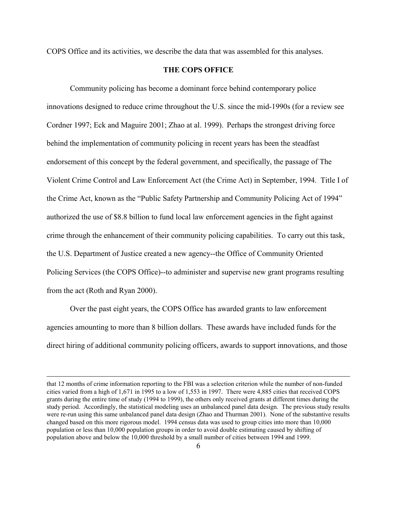COPS Office and its activities, we describe the data that was assembled for this analyses.

## **THE COPS OFFICE**

Community policing has become a dominant force behind contemporary police innovations designed to reduce crime throughout the U.S. since the mid-1990s (for a review see Cordner 1997; Eck and Maguire 2001; Zhao at al. 1999). Perhaps the strongest driving force behind the implementation of community policing in recent years has been the steadfast endorsement of this concept by the federal government, and specifically, the passage of The Violent Crime Control and Law Enforcement Act (the Crime Act) in September, 1994. Title I of the Crime Act, known as the "Public Safety Partnership and Community Policing Act of 1994" authorized the use of \$8.8 billion to fund local law enforcement agencies in the fight against crime through the enhancement of their community policing capabilities. To carry out this task, the U.S. Department of Justice created a new agency--the Office of Community Oriented Policing Services (the COPS Office)--to administer and supervise new grant programs resulting from the act (Roth and Ryan 2000).

Over the past eight years, the COPS Office has awarded grants to law enforcement agencies amounting to more than 8 billion dollars. These awards have included funds for the direct hiring of additional community policing officers, awards to support innovations, and those

<u>.</u>

that 12 months of crime information reporting to the FBI was a selection criterion while the number of non-funded cities varied from a high of 1,671 in 1995 to a low of 1,553 in 1997. There were 4,885 cities that received COPS grants during the entire time of study (1994 to 1999), the others only received grants at different times during the study period. Accordingly, the statistical modeling uses an unbalanced panel data design. The previous study results were re-run using this same unbalanced panel data design (Zhao and Thurman 2001). None of the substantive results changed based on this more rigorous model. 1994 census data was used to group cities into more than 10,000 population or less than 10,000 population groups in order to avoid double estimating caused by shifting of population above and below the 10,000 threshold by a small number of cities between 1994 and 1999.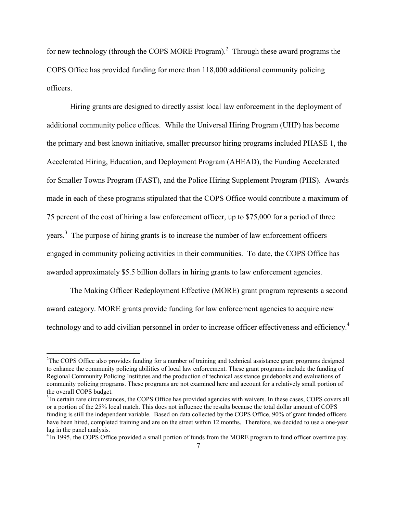for new technology (through the COPS MORE Program).<sup>2</sup> Through these award programs the COPS Office has provided funding for more than 118,000 additional community policing officers.

Hiring grants are designed to directly assist local law enforcement in the deployment of additional community police offices. While the Universal Hiring Program (UHP) has become the primary and best known initiative, smaller precursor hiring programs included PHASE 1, the Accelerated Hiring, Education, and Deployment Program (AHEAD), the Funding Accelerated for Smaller Towns Program (FAST), and the Police Hiring Supplement Program (PHS). Awards made in each of these programs stipulated that the COPS Office would contribute a maximum of 75 percent of the cost of hiring a law enforcement officer, up to \$75,000 for a period of three years.<sup>3</sup> The purpose of hiring grants is to increase the number of law enforcement officers engaged in community policing activities in their communities. To date, the COPS Office has awarded approximately \$5.5 billion dollars in hiring grants to law enforcement agencies.

The Making Officer Redeployment Effective (MORE) grant program represents a second award category. MORE grants provide funding for law enforcement agencies to acquire new technology and to add civilian personnel in order to increase officer effectiveness and efficiency.<sup>4</sup>

<sup>&</sup>lt;sup>2</sup>The COPS Office also provides funding for a number of training and technical assistance grant programs designed to enhance the community policing abilities of local law enforcement. These grant programs include the funding of Regional Community Policing Institutes and the production of technical assistance guidebooks and evaluations of community policing programs. These programs are not examined here and account for a relatively small portion of the overall COPS budget.

<sup>&</sup>lt;sup>3</sup> In certain rare circumstances, the COPS Office has provided agencies with waivers. In these cases, COPS covers all or a portion of the 25% local match. This does not influence the results because the total dollar amount of COPS funding is still the independent variable. Based on data collected by the COPS Office, 90% of grant funded officers have been hired, completed training and are on the street within 12 months. Therefore, we decided to use a one-year lag in the panel analysis.

<sup>&</sup>lt;sup>4</sup> In 1995, the COPS Office provided a small portion of funds from the MORE program to fund officer overtime pay.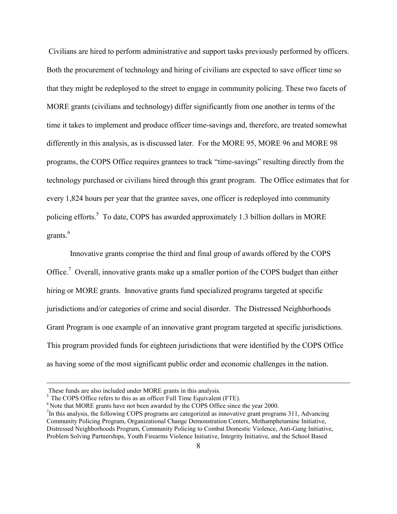Civilians are hired to perform administrative and support tasks previously performed by officers. Both the procurement of technology and hiring of civilians are expected to save officer time so that they might be redeployed to the street to engage in community policing. These two facets of MORE grants (civilians and technology) differ significantly from one another in terms of the time it takes to implement and produce officer time-savings and, therefore, are treated somewhat differently in this analysis, as is discussed later. For the MORE 95, MORE 96 and MORE 98 programs, the COPS Office requires grantees to track "time-savings" resulting directly from the technology purchased or civilians hired through this grant program. The Office estimates that for every 1,824 hours per year that the grantee saves, one officer is redeployed into community policing efforts.<sup>5</sup> To date, COPS has awarded approximately 1.3 billion dollars in MORE grants.<sup>6</sup>

Innovative grants comprise the third and final group of awards offered by the COPS Office.<sup>7</sup> Overall, innovative grants make up a smaller portion of the COPS budget than either hiring or MORE grants. Innovative grants fund specialized programs targeted at specific jurisdictions and/or categories of crime and social disorder. The Distressed Neighborhoods Grant Program is one example of an innovative grant program targeted at specific jurisdictions. This program provided funds for eighteen jurisdictions that were identified by the COPS Office as having some of the most significant public order and economic challenges in the nation.

 $\overline{a}$ 

These funds are also included under MORE grants in this analysis.

 $<sup>5</sup>$  The COPS Office refers to this as an officer Full Time Equivalent (FTE).</sup>

<sup>&</sup>lt;sup>6</sup> Note that MORE grants have not been awarded by the COPS Office since the year 2000.

<sup>&</sup>lt;sup>7</sup>In this analysis, the following COPS programs are categorized as innovative grant programs 311, Advancing Community Policing Program, Organizational Change Demonstration Centers, Methamphetamine Initiative, Distressed Neighborhoods Program, Community Policing to Combat Domestic Violence, Anti-Gang Initiative, Problem Solving Partnerships, Youth Firearms Violence Initiative, Integrity Initiative, and the School Based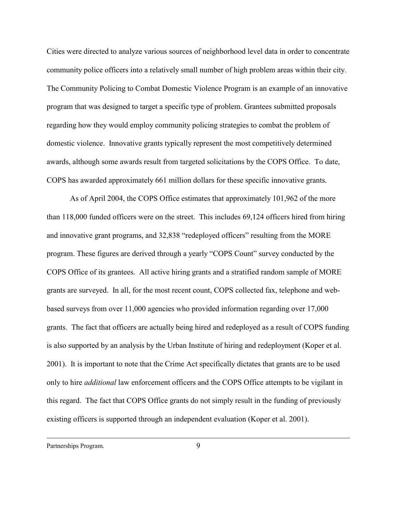Cities were directed to analyze various sources of neighborhood level data in order to concentrate community police officers into a relatively small number of high problem areas within their city. The Community Policing to Combat Domestic Violence Program is an example of an innovative program that was designed to target a specific type of problem. Grantees submitted proposals regarding how they would employ community policing strategies to combat the problem of domestic violence. Innovative grants typically represent the most competitively determined awards, although some awards result from targeted solicitations by the COPS Office. To date, COPS has awarded approximately 661 million dollars for these specific innovative grants.

As of April 2004, the COPS Office estimates that approximately 101,962 of the more than 118,000 funded officers were on the street. This includes 69,124 officers hired from hiring and innovative grant programs, and 32,838 "redeployed officers" resulting from the MORE program. These figures are derived through a yearly "COPS Count" survey conducted by the COPS Office of its grantees. All active hiring grants and a stratified random sample of MORE grants are surveyed. In all, for the most recent count, COPS collected fax, telephone and webbased surveys from over 11,000 agencies who provided information regarding over 17,000 grants. The fact that officers are actually being hired and redeployed as a result of COPS funding is also supported by an analysis by the Urban Institute of hiring and redeployment (Koper et al. 2001). It is important to note that the Crime Act specifically dictates that grants are to be used only to hire *additional* law enforcement officers and the COPS Office attempts to be vigilant in this regard. The fact that COPS Office grants do not simply result in the funding of previously existing officers is supported through an independent evaluation (Koper et al. 2001).

Partnerships Program.

 $\overline{a}$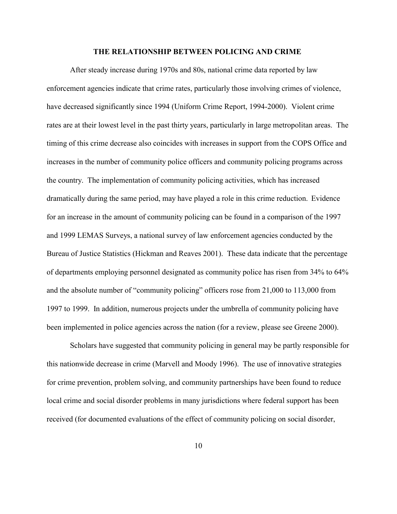#### **THE RELATIONSHIP BETWEEN POLICING AND CRIME**

After steady increase during 1970s and 80s, national crime data reported by law enforcement agencies indicate that crime rates, particularly those involving crimes of violence, have decreased significantly since 1994 (Uniform Crime Report, 1994-2000). Violent crime rates are at their lowest level in the past thirty years, particularly in large metropolitan areas. The timing of this crime decrease also coincides with increases in support from the COPS Office and increases in the number of community police officers and community policing programs across the country. The implementation of community policing activities, which has increased dramatically during the same period, may have played a role in this crime reduction. Evidence for an increase in the amount of community policing can be found in a comparison of the 1997 and 1999 LEMAS Surveys, a national survey of law enforcement agencies conducted by the Bureau of Justice Statistics (Hickman and Reaves 2001). These data indicate that the percentage of departments employing personnel designated as community police has risen from 34% to 64% and the absolute number of "community policing" officers rose from 21,000 to 113,000 from 1997 to 1999. In addition, numerous projects under the umbrella of community policing have been implemented in police agencies across the nation (for a review, please see Greene 2000).

Scholars have suggested that community policing in general may be partly responsible for this nationwide decrease in crime (Marvell and Moody 1996). The use of innovative strategies for crime prevention, problem solving, and community partnerships have been found to reduce local crime and social disorder problems in many jurisdictions where federal support has been received (for documented evaluations of the effect of community policing on social disorder,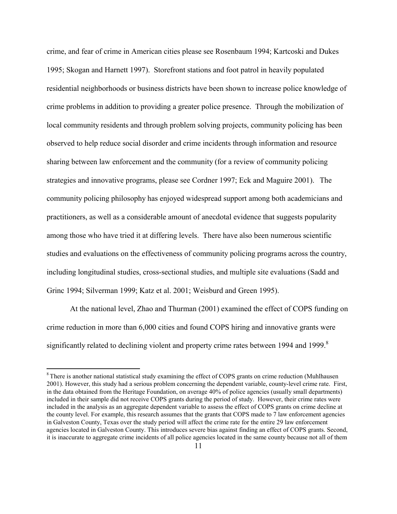crime, and fear of crime in American cities please see Rosenbaum 1994; Kartcoski and Dukes 1995; Skogan and Harnett 1997). Storefront stations and foot patrol in heavily populated residential neighborhoods or business districts have been shown to increase police knowledge of crime problems in addition to providing a greater police presence. Through the mobilization of local community residents and through problem solving projects, community policing has been observed to help reduce social disorder and crime incidents through information and resource sharing between law enforcement and the community (for a review of community policing strategies and innovative programs, please see Cordner 1997; Eck and Maguire 2001). The community policing philosophy has enjoyed widespread support among both academicians and practitioners, as well as a considerable amount of anecdotal evidence that suggests popularity among those who have tried it at differing levels. There have also been numerous scientific studies and evaluations on the effectiveness of community policing programs across the country, including longitudinal studies, cross-sectional studies, and multiple site evaluations (Sadd and Grinc 1994; Silverman 1999; Katz et al. 2001; Weisburd and Green 1995).

At the national level, Zhao and Thurman (2001) examined the effect of COPS funding on crime reduction in more than 6,000 cities and found COPS hiring and innovative grants were significantly related to declining violent and property crime rates between 1994 and 1999.<sup>8</sup>

1

<sup>&</sup>lt;sup>8</sup> There is another national statistical study examining the effect of COPS grants on crime reduction (Muhlhausen 2001). However, this study had a serious problem concerning the dependent variable, county-level crime rate. First, in the data obtained from the Heritage Foundation, on average 40% of police agencies (usually small departments) included in their sample did not receive COPS grants during the period of study. However, their crime rates were included in the analysis as an aggregate dependent variable to assess the effect of COPS grants on crime decline at the county level. For example, this research assumes that the grants that COPS made to 7 law enforcement agencies in Galveston County, Texas over the study period will affect the crime rate for the entire 29 law enforcement agencies located in Galveston County. This introduces severe bias against finding an effect of COPS grants. Second, it is inaccurate to aggregate crime incidents of all police agencies located in the same county because not all of them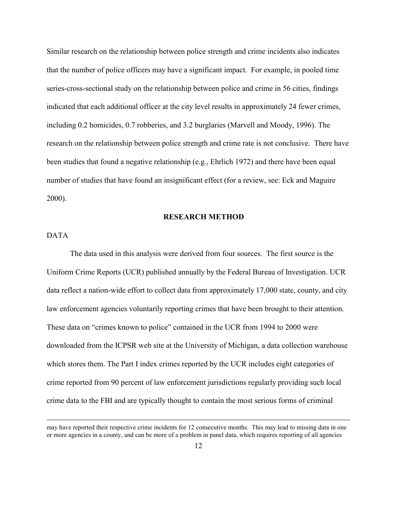Similar research on the relationship between police strength and crime incidents also indicates that the number of police officers may have a significant impact. For example, in pooled time series-cross-sectional study on the relationship between police and crime in 56 cities, findings indicated that each additional officer at the city level results in approximately 24 fewer crimes, including 0.2 homicides, 0.7 robberies, and 3.2 burglaries (Marvell and Moody, 1996). The research on the relationship between police strength and crime rate is not conclusive. There have been studies that found a negative relationship (e.g., Ehrlich 1972) and there have been equal number of studies that have found an insignificant effect (for a review, see: Eck and Maguire 2000).

#### **RESEARCH METHOD**

## DATA

 $\overline{a}$ 

The data used in this analysis were derived from four sources. The first source is the Uniform Crime Reports (UCR) published annually by the Federal Bureau of Investigation. UCR data reflect a nation-wide effort to collect data from approximately 17,000 state, county, and city law enforcement agencies voluntarily reporting crimes that have been brought to their attention. These data on "crimes known to police" contained in the UCR from 1994 to 2000 were downloaded from the ICPSR web site at the University of Michigan, a data collection warehouse which stores them. The Part I index crimes reported by the UCR includes eight categories of crime reported from 90 percent of law enforcement jurisdictions regularly providing such local crime data to the FBI and are typically thought to contain the most serious forms of criminal

may have reported their respective crime incidents for 12 consecutive months. This may lead to missing data in one or more agencies in a county, and can be more of a problem in panel data, which requires reporting of all agencies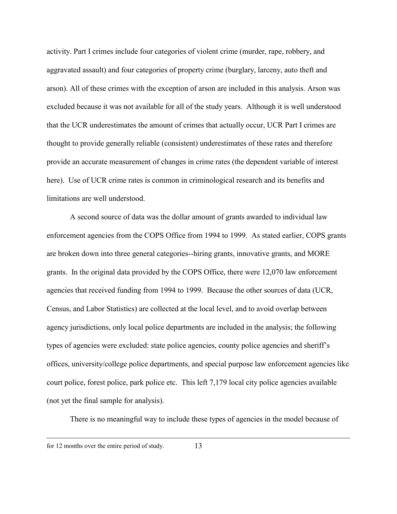activity. Part I crimes include four categories of violent crime (murder, rape, robbery, and aggravated assault) and four categories of property crime (burglary, larceny, auto theft and arson). All of these crimes with the exception of arson are included in this analysis. Arson was excluded because it was not available for all of the study years. Although it is well understood that the UCR underestimates the amount of crimes that actually occur, UCR Part I crimes are thought to provide generally reliable (consistent) underestimates of these rates and therefore provide an accurate measurement of changes in crime rates (the dependent variable of interest here). Use of UCR crime rates is common in criminological research and its benefits and limitations are well understood.

A second source of data was the dollar amount of grants awarded to individual law enforcement agencies from the COPS Office from 1994 to 1999. As stated earlier, COPS grants are broken down into three general categories--hiring grants, innovative grants, and MORE grants. In the original data provided by the COPS Office, there were 12,070 law enforcement agencies that received funding from 1994 to 1999. Because the other sources of data (UCR, Census, and Labor Statistics) are collected at the local level, and to avoid overlap between agency jurisdictions, only local police departments are included in the analysis; the following types of agencies were excluded: state police agencies, county police agencies and sheriff's offices, university/college police departments, and special purpose law enforcement agencies like court police, forest police, park police etc. This left 7,179 local city police agencies available (not yet the final sample for analysis).

There is no meaningful way to include these types of agencies in the model because of

 $\overline{a}$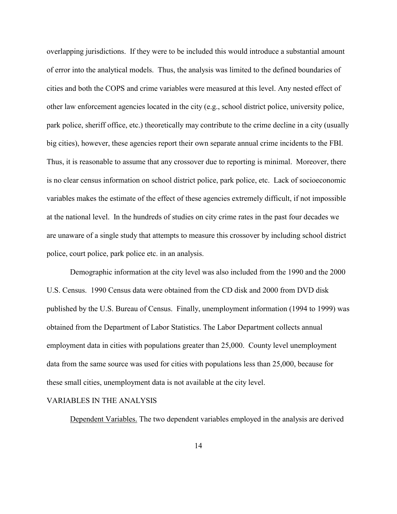overlapping jurisdictions. If they were to be included this would introduce a substantial amount of error into the analytical models. Thus, the analysis was limited to the defined boundaries of cities and both the COPS and crime variables were measured at this level. Any nested effect of other law enforcement agencies located in the city (e.g., school district police, university police, park police, sheriff office, etc.) theoretically may contribute to the crime decline in a city (usually big cities), however, these agencies report their own separate annual crime incidents to the FBI. Thus, it is reasonable to assume that any crossover due to reporting is minimal. Moreover, there is no clear census information on school district police, park police, etc. Lack of socioeconomic variables makes the estimate of the effect of these agencies extremely difficult, if not impossible at the national level. In the hundreds of studies on city crime rates in the past four decades we are unaware of a single study that attempts to measure this crossover by including school district police, court police, park police etc. in an analysis.

Demographic information at the city level was also included from the 1990 and the 2000 U.S. Census. 1990 Census data were obtained from the CD disk and 2000 from DVD disk published by the U.S. Bureau of Census. Finally, unemployment information (1994 to 1999) was obtained from the Department of Labor Statistics. The Labor Department collects annual employment data in cities with populations greater than 25,000. County level unemployment data from the same source was used for cities with populations less than 25,000, because for these small cities, unemployment data is not available at the city level.

#### VARIABLES IN THE ANALYSIS

Dependent Variables. The two dependent variables employed in the analysis are derived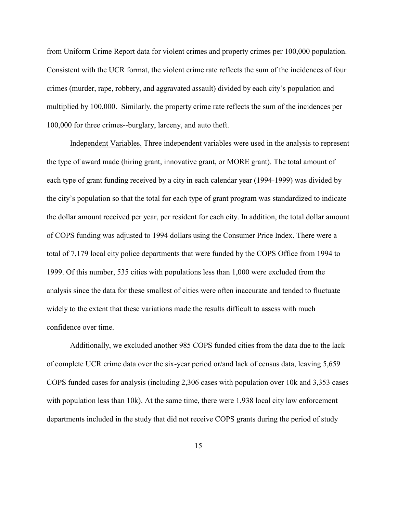from Uniform Crime Report data for violent crimes and property crimes per 100,000 population. Consistent with the UCR format, the violent crime rate reflects the sum of the incidences of four crimes (murder, rape, robbery, and aggravated assault) divided by each city's population and multiplied by 100,000. Similarly, the property crime rate reflects the sum of the incidences per 100,000 for three crimes--burglary, larceny, and auto theft.

Independent Variables. Three independent variables were used in the analysis to represent the type of award made (hiring grant, innovative grant, or MORE grant). The total amount of each type of grant funding received by a city in each calendar year (1994-1999) was divided by the city's population so that the total for each type of grant program was standardized to indicate the dollar amount received per year, per resident for each city. In addition, the total dollar amount of COPS funding was adjusted to 1994 dollars using the Consumer Price Index. There were a total of 7,179 local city police departments that were funded by the COPS Office from 1994 to 1999. Of this number, 535 cities with populations less than 1,000 were excluded from the analysis since the data for these smallest of cities were often inaccurate and tended to fluctuate widely to the extent that these variations made the results difficult to assess with much confidence over time.

Additionally, we excluded another 985 COPS funded cities from the data due to the lack of complete UCR crime data over the six-year period or/and lack of census data, leaving 5,659 COPS funded cases for analysis (including 2,306 cases with population over 10k and 3,353 cases with population less than 10k). At the same time, there were 1,938 local city law enforcement departments included in the study that did not receive COPS grants during the period of study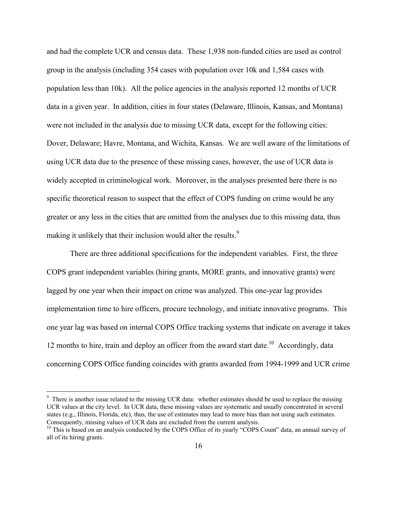and had the complete UCR and census data. These 1,938 non-funded cities are used as control group in the analysis (including 354 cases with population over 10k and 1,584 cases with population less than 10k). All the police agencies in the analysis reported 12 months of UCR data in a given year. In addition, cities in four states (Delaware, Illinois, Kansas, and Montana) were not included in the analysis due to missing UCR data, except for the following cities: Dover, Delaware; Havre, Montana, and Wichita, Kansas. We are well aware of the limitations of using UCR data due to the presence of these missing cases, however, the use of UCR data is widely accepted in criminological work. Moreover, in the analyses presented here there is no specific theoretical reason to suspect that the effect of COPS funding on crime would be any greater or any less in the cities that are omitted from the analyses due to this missing data, thus making it unlikely that their inclusion would alter the results.<sup>9</sup>

There are three additional specifications for the independent variables. First, the three COPS grant independent variables (hiring grants, MORE grants, and innovative grants) were lagged by one year when their impact on crime was analyzed. This one-year lag provides implementation time to hire officers, procure technology, and initiate innovative programs. This one year lag was based on internal COPS Office tracking systems that indicate on average it takes 12 months to hire, train and deploy an officer from the award start date.<sup>10</sup> Accordingly, data concerning COPS Office funding coincides with grants awarded from 1994-1999 and UCR crime

 $\overline{a}$ 

<sup>&</sup>lt;sup>9</sup> There is another issue related to the missing UCR data: whether estimates should be used to replace the missing UCR values at the city level. In UCR data, these missing values are systematic and usually concentrated in several states (e.g., Illinois, Florida, etc), thus, the use of estimates may lead to more bias than not using such estimates. Consequently, missing values of UCR data are excluded from the current analysis.

 $10$  This is based on an analysis conducted by the COPS Office of its yearly "COPS Count" data, an annual survey of all of its hiring grants.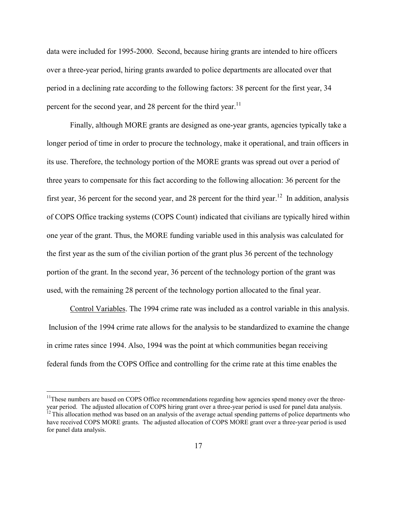data were included for 1995-2000. Second, because hiring grants are intended to hire officers over a three-year period, hiring grants awarded to police departments are allocated over that period in a declining rate according to the following factors: 38 percent for the first year, 34 percent for the second year, and 28 percent for the third year.<sup>11</sup>

Finally, although MORE grants are designed as one-year grants, agencies typically take a longer period of time in order to procure the technology, make it operational, and train officers in its use. Therefore, the technology portion of the MORE grants was spread out over a period of three years to compensate for this fact according to the following allocation: 36 percent for the first year, 36 percent for the second year, and 28 percent for the third year.<sup>12</sup> In addition, analysis of COPS Office tracking systems (COPS Count) indicated that civilians are typically hired within one year of the grant. Thus, the MORE funding variable used in this analysis was calculated for the first year as the sum of the civilian portion of the grant plus 36 percent of the technology portion of the grant. In the second year, 36 percent of the technology portion of the grant was used, with the remaining 28 percent of the technology portion allocated to the final year.

Control Variables. The 1994 crime rate was included as a control variable in this analysis. Inclusion of the 1994 crime rate allows for the analysis to be standardized to examine the change in crime rates since 1994. Also, 1994 was the point at which communities began receiving federal funds from the COPS Office and controlling for the crime rate at this time enables the

 $\overline{a}$ 

<sup>&</sup>lt;sup>11</sup>These numbers are based on COPS Office recommendations regarding how agencies spend money over the threeyear period. The adjusted allocation of COPS hiring grant over a three-year period is used for panel data analysis.  $12$  This allocation method was based on an analysis of the average actual spending patterns of police departments who have received COPS MORE grants. The adjusted allocation of COPS MORE grant over a three-year period is used for panel data analysis.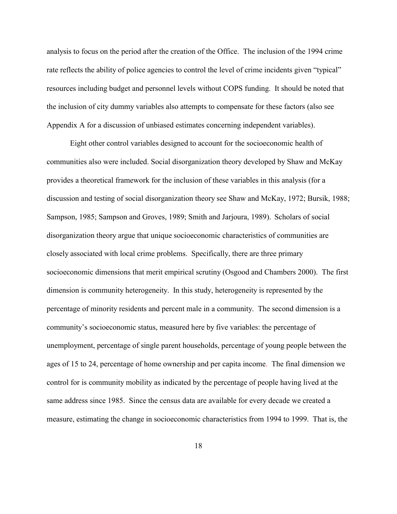analysis to focus on the period after the creation of the Office. The inclusion of the 1994 crime rate reflects the ability of police agencies to control the level of crime incidents given "typical" resources including budget and personnel levels without COPS funding. It should be noted that the inclusion of city dummy variables also attempts to compensate for these factors (also see Appendix A for a discussion of unbiased estimates concerning independent variables).

Eight other control variables designed to account for the socioeconomic health of communities also were included. Social disorganization theory developed by Shaw and McKay provides a theoretical framework for the inclusion of these variables in this analysis (for a discussion and testing of social disorganization theory see Shaw and McKay, 1972; Bursik, 1988; Sampson, 1985; Sampson and Groves, 1989; Smith and Jarjoura, 1989). Scholars of social disorganization theory argue that unique socioeconomic characteristics of communities are closely associated with local crime problems. Specifically, there are three primary socioeconomic dimensions that merit empirical scrutiny (Osgood and Chambers 2000). The first dimension is community heterogeneity. In this study, heterogeneity is represented by the percentage of minority residents and percent male in a community. The second dimension is a community's socioeconomic status, measured here by five variables: the percentage of unemployment, percentage of single parent households, percentage of young people between the ages of 15 to 24, percentage of home ownership and per capita income. The final dimension we control for is community mobility as indicated by the percentage of people having lived at the same address since 1985. Since the census data are available for every decade we created a measure, estimating the change in socioeconomic characteristics from 1994 to 1999. That is, the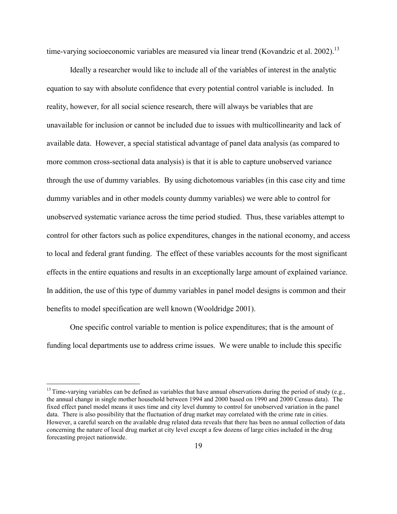time-varying socioeconomic variables are measured via linear trend (Kovandzic et al. 2002).<sup>13</sup>

Ideally a researcher would like to include all of the variables of interest in the analytic equation to say with absolute confidence that every potential control variable is included. In reality, however, for all social science research, there will always be variables that are unavailable for inclusion or cannot be included due to issues with multicollinearity and lack of available data. However, a special statistical advantage of panel data analysis (as compared to more common cross-sectional data analysis) is that it is able to capture unobserved variance through the use of dummy variables. By using dichotomous variables (in this case city and time dummy variables and in other models county dummy variables) we were able to control for unobserved systematic variance across the time period studied. Thus, these variables attempt to control for other factors such as police expenditures, changes in the national economy, and access to local and federal grant funding. The effect of these variables accounts for the most significant effects in the entire equations and results in an exceptionally large amount of explained variance. In addition, the use of this type of dummy variables in panel model designs is common and their benefits to model specification are well known (Wooldridge 2001).

One specific control variable to mention is police expenditures; that is the amount of funding local departments use to address crime issues. We were unable to include this specific

 $\overline{a}$ 

 $13$  Time-varying variables can be defined as variables that have annual observations during the period of study (e.g., the annual change in single mother household between 1994 and 2000 based on 1990 and 2000 Census data). The fixed effect panel model means it uses time and city level dummy to control for unobserved variation in the panel data. There is also possibility that the fluctuation of drug market may correlated with the crime rate in cities. However, a careful search on the available drug related data reveals that there has been no annual collection of data concerning the nature of local drug market at city level except a few dozens of large cities included in the drug forecasting project nationwide.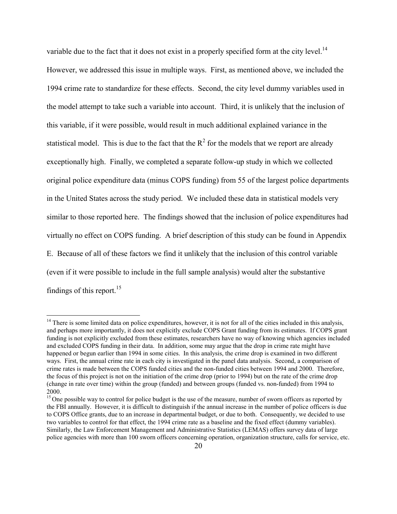variable due to the fact that it does not exist in a properly specified form at the city level.<sup>14</sup> However, we addressed this issue in multiple ways. First, as mentioned above, we included the 1994 crime rate to standardize for these effects. Second, the city level dummy variables used in the model attempt to take such a variable into account. Third, it is unlikely that the inclusion of this variable, if it were possible, would result in much additional explained variance in the statistical model. This is due to the fact that the  $R^2$  for the models that we report are already exceptionally high. Finally, we completed a separate follow-up study in which we collected original police expenditure data (minus COPS funding) from 55 of the largest police departments in the United States across the study period. We included these data in statistical models very similar to those reported here. The findings showed that the inclusion of police expenditures had virtually no effect on COPS funding. A brief description of this study can be found in Appendix E. Because of all of these factors we find it unlikely that the inclusion of this control variable (even if it were possible to include in the full sample analysis) would alter the substantive findings of this report.<sup>15</sup>

 $\overline{a}$ 

 $14$  There is some limited data on police expenditures, however, it is not for all of the cities included in this analysis, and perhaps more importantly, it does not explicitly exclude COPS Grant funding from its estimates. If COPS grant funding is not explicitly excluded from these estimates, researchers have no way of knowing which agencies included and excluded COPS funding in their data. In addition, some may argue that the drop in crime rate might have happened or begun earlier than 1994 in some cities. In this analysis, the crime drop is examined in two different ways. First, the annual crime rate in each city is investigated in the panel data analysis. Second, a comparison of crime rates is made between the COPS funded cities and the non-funded cities between 1994 and 2000. Therefore, the focus of this project is not on the initiation of the crime drop (prior to 1994) but on the rate of the crime drop (change in rate over time) within the group (funded) and between groups (funded vs. non-funded) from 1994 to 2000.

<sup>&</sup>lt;sup>15</sup> One possible way to control for police budget is the use of the measure, number of sworn officers as reported by the FBI annually. However, it is difficult to distinguish if the annual increase in the number of police officers is due to COPS Office grants, due to an increase in departmental budget, or due to both. Consequently, we decided to use two variables to control for that effect, the 1994 crime rate as a baseline and the fixed effect (dummy variables). Similarly, the Law Enforcement Management and Administrative Statistics (LEMAS) offers survey data of large police agencies with more than 100 sworn officers concerning operation, organization structure, calls for service, etc.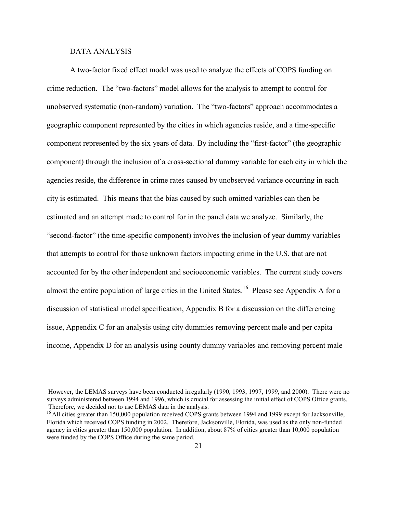#### DATA ANALYSIS

 $\overline{a}$ 

A two-factor fixed effect model was used to analyze the effects of COPS funding on crime reduction. The "two-factors" model allows for the analysis to attempt to control for unobserved systematic (non-random) variation. The "two-factors" approach accommodates a geographic component represented by the cities in which agencies reside, and a time-specific component represented by the six years of data. By including the "first-factor" (the geographic component) through the inclusion of a cross-sectional dummy variable for each city in which the agencies reside, the difference in crime rates caused by unobserved variance occurring in each city is estimated. This means that the bias caused by such omitted variables can then be estimated and an attempt made to control for in the panel data we analyze. Similarly, the "second-factor" (the time-specific component) involves the inclusion of year dummy variables that attempts to control for those unknown factors impacting crime in the U.S. that are not accounted for by the other independent and socioeconomic variables. The current study covers almost the entire population of large cities in the United States.<sup>16</sup> Please see Appendix A for a discussion of statistical model specification, Appendix B for a discussion on the differencing issue, Appendix C for an analysis using city dummies removing percent male and per capita income, Appendix D for an analysis using county dummy variables and removing percent male

However, the LEMAS surveys have been conducted irregularly (1990, 1993, 1997, 1999, and 2000). There were no surveys administered between 1994 and 1996, which is crucial for assessing the initial effect of COPS Office grants. Therefore, we decided not to use LEMAS data in the analysis.

<sup>&</sup>lt;sup>16</sup> All cities greater than 150,000 population received COPS grants between 1994 and 1999 except for Jacksonville, Florida which received COPS funding in 2002. Therefore, Jacksonville, Florida, was used as the only non-funded agency in cities greater than 150,000 population. In addition, about 87% of cities greater than 10,000 population were funded by the COPS Office during the same period.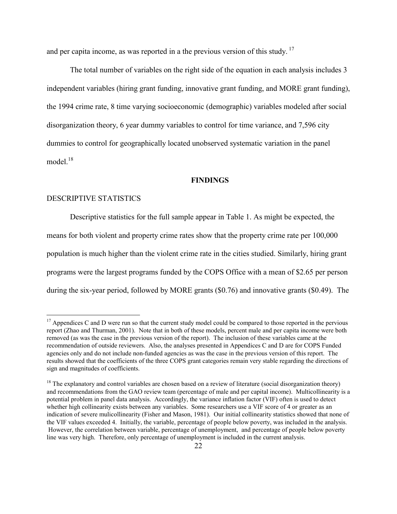and per capita income, as was reported in a the previous version of this study.<sup>17</sup>

The total number of variables on the right side of the equation in each analysis includes 3 independent variables (hiring grant funding, innovative grant funding, and MORE grant funding), the 1994 crime rate, 8 time varying socioeconomic (demographic) variables modeled after social disorganization theory, 6 year dummy variables to control for time variance, and 7,596 city dummies to control for geographically located unobserved systematic variation in the panel model.<sup>18</sup>

#### **FINDINGS**

#### DESCRIPTIVE STATISTICS

 $\overline{a}$ 

Descriptive statistics for the full sample appear in Table 1. As might be expected, the means for both violent and property crime rates show that the property crime rate per 100,000 population is much higher than the violent crime rate in the cities studied. Similarly, hiring grant programs were the largest programs funded by the COPS Office with a mean of \$2.65 per person during the six-year period, followed by MORE grants (\$0.76) and innovative grants (\$0.49). The

 $17$  Appendices C and D were run so that the current study model could be compared to those reported in the pervious report (Zhao and Thurman, 2001). Note that in both of these models, percent male and per capita income were both removed (as was the case in the previous version of the report). The inclusion of these variables came at the recommendation of outside reviewers. Also, the analyses presented in Appendices C and D are for COPS Funded agencies only and do not include non-funded agencies as was the case in the previous version of this report. The results showed that the coefficients of the three COPS grant categories remain very stable regarding the directions of sign and magnitudes of coefficients.

 $18$  The explanatory and control variables are chosen based on a review of literature (social disorganization theory) and recommendations from the GAO review team (percentage of male and per capital income). Multicollinearity is a potential problem in panel data analysis. Accordingly, the variance inflation factor (VIF) often is used to detect whether high collinearity exists between any variables. Some researchers use a VIF score of 4 or greater as an indication of severe mulicollinearity (Fisher and Mason, 1981). Our initial collinearity statistics showed that none of the VIF values exceeded 4. Initially, the variable, percentage of people below poverty, was included in the analysis. However, the correlation between variable, percentage of unemployment, and percentage of people below poverty line was very high. Therefore, only percentage of unemployment is included in the current analysis.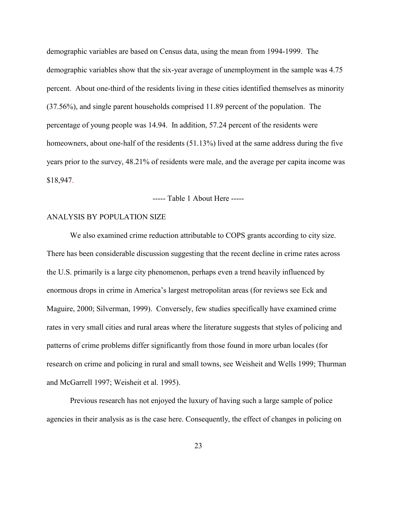demographic variables are based on Census data, using the mean from 1994-1999. The demographic variables show that the six-year average of unemployment in the sample was 4.75 percent. About one-third of the residents living in these cities identified themselves as minority (37.56%), and single parent households comprised 11.89 percent of the population. The percentage of young people was 14.94. In addition, 57.24 percent of the residents were homeowners, about one-half of the residents (51.13%) lived at the same address during the five years prior to the survey, 48.21% of residents were male, and the average per capita income was \$18,947.

----- Table 1 About Here -----

#### ANALYSIS BY POPULATION SIZE

We also examined crime reduction attributable to COPS grants according to city size. There has been considerable discussion suggesting that the recent decline in crime rates across the U.S. primarily is a large city phenomenon, perhaps even a trend heavily influenced by enormous drops in crime in America's largest metropolitan areas (for reviews see Eck and Maguire, 2000; Silverman, 1999). Conversely, few studies specifically have examined crime rates in very small cities and rural areas where the literature suggests that styles of policing and patterns of crime problems differ significantly from those found in more urban locales (for research on crime and policing in rural and small towns, see Weisheit and Wells 1999; Thurman and McGarrell 1997; Weisheit et al. 1995).

Previous research has not enjoyed the luxury of having such a large sample of police agencies in their analysis as is the case here. Consequently, the effect of changes in policing on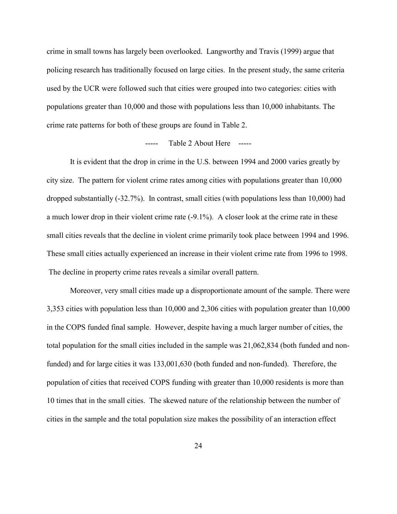crime in small towns has largely been overlooked. Langworthy and Travis (1999) argue that policing research has traditionally focused on large cities. In the present study, the same criteria used by the UCR were followed such that cities were grouped into two categories: cities with populations greater than 10,000 and those with populations less than 10,000 inhabitants. The crime rate patterns for both of these groups are found in Table 2.

## ----- Table 2 About Here -----

It is evident that the drop in crime in the U.S. between 1994 and 2000 varies greatly by city size. The pattern for violent crime rates among cities with populations greater than 10,000 dropped substantially (-32.7%). In contrast, small cities (with populations less than 10,000) had a much lower drop in their violent crime rate (-9.1%). A closer look at the crime rate in these small cities reveals that the decline in violent crime primarily took place between 1994 and 1996. These small cities actually experienced an increase in their violent crime rate from 1996 to 1998. The decline in property crime rates reveals a similar overall pattern.

Moreover, very small cities made up a disproportionate amount of the sample. There were 3,353 cities with population less than 10,000 and 2,306 cities with population greater than 10,000 in the COPS funded final sample. However, despite having a much larger number of cities, the total population for the small cities included in the sample was 21,062,834 (both funded and nonfunded) and for large cities it was 133,001,630 (both funded and non-funded). Therefore, the population of cities that received COPS funding with greater than 10,000 residents is more than 10 times that in the small cities. The skewed nature of the relationship between the number of cities in the sample and the total population size makes the possibility of an interaction effect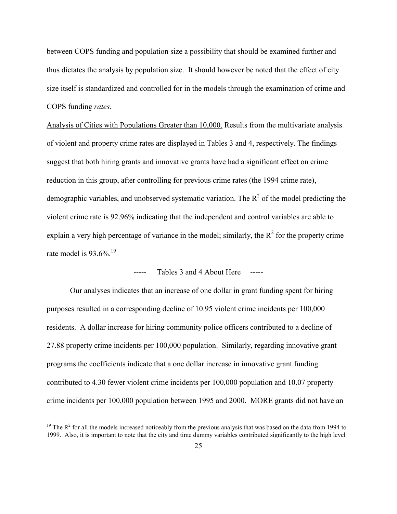between COPS funding and population size a possibility that should be examined further and thus dictates the analysis by population size. It should however be noted that the effect of city size itself is standardized and controlled for in the models through the examination of crime and COPS funding *rates*.

Analysis of Cities with Populations Greater than 10,000. Results from the multivariate analysis of violent and property crime rates are displayed in Tables 3 and 4, respectively. The findings suggest that both hiring grants and innovative grants have had a significant effect on crime reduction in this group, after controlling for previous crime rates (the 1994 crime rate), demographic variables, and unobserved systematic variation. The  $\mathbb{R}^2$  of the model predicting the violent crime rate is 92.96% indicating that the independent and control variables are able to explain a very high percentage of variance in the model; similarly, the  $R^2$  for the property crime rate model is  $93.6\%$ <sup>19</sup>

## ----- Tables 3 and 4 About Here -----

Our analyses indicates that an increase of one dollar in grant funding spent for hiring purposes resulted in a corresponding decline of 10.95 violent crime incidents per 100,000 residents. A dollar increase for hiring community police officers contributed to a decline of 27.88 property crime incidents per 100,000 population. Similarly, regarding innovative grant programs the coefficients indicate that a one dollar increase in innovative grant funding contributed to 4.30 fewer violent crime incidents per 100,000 population and 10.07 property crime incidents per 100,000 population between 1995 and 2000. MORE grants did not have an

 $\overline{a}$ 

<sup>&</sup>lt;sup>19</sup> The  $R^2$  for all the models increased noticeably from the previous analysis that was based on the data from 1994 to 1999. Also, it is important to note that the city and time dummy variables contributed significantly to the high level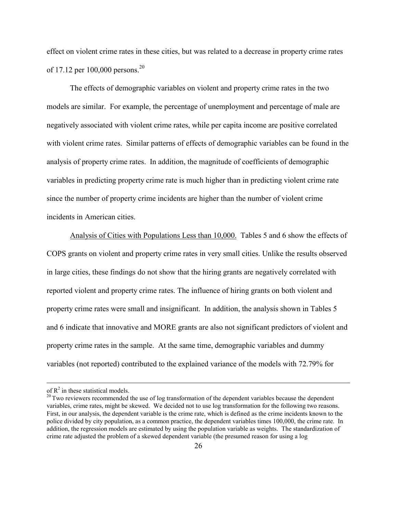effect on violent crime rates in these cities, but was related to a decrease in property crime rates of 17.12 per 100,000 persons.20

The effects of demographic variables on violent and property crime rates in the two models are similar. For example, the percentage of unemployment and percentage of male are negatively associated with violent crime rates, while per capita income are positive correlated with violent crime rates. Similar patterns of effects of demographic variables can be found in the analysis of property crime rates. In addition, the magnitude of coefficients of demographic variables in predicting property crime rate is much higher than in predicting violent crime rate since the number of property crime incidents are higher than the number of violent crime incidents in American cities.

Analysis of Cities with Populations Less than 10,000. Tables 5 and 6 show the effects of COPS grants on violent and property crime rates in very small cities. Unlike the results observed in large cities, these findings do not show that the hiring grants are negatively correlated with reported violent and property crime rates. The influence of hiring grants on both violent and property crime rates were small and insignificant. In addition, the analysis shown in Tables 5 and 6 indicate that innovative and MORE grants are also not significant predictors of violent and property crime rates in the sample. At the same time, demographic variables and dummy variables (not reported) contributed to the explained variance of the models with 72.79% for

1

of  $R^2$  in these statistical models.

 $20$  Two reviewers recommended the use of log transformation of the dependent variables because the dependent variables, crime rates, might be skewed. We decided not to use log transformation for the following two reasons. First, in our analysis, the dependent variable is the crime rate, which is defined as the crime incidents known to the police divided by city population, as a common practice, the dependent variables times 100,000, the crime rate. In addition, the regression models are estimated by using the population variable as weights. The standardization of crime rate adjusted the problem of a skewed dependent variable (the presumed reason for using a log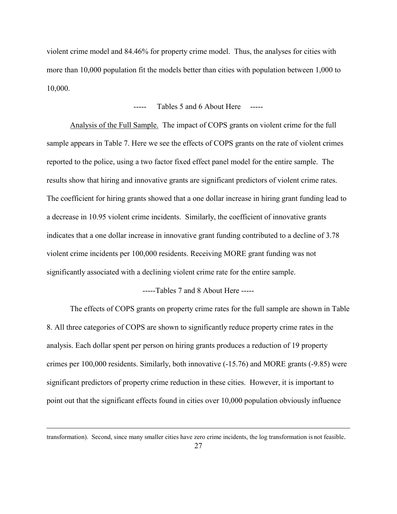violent crime model and 84.46% for property crime model. Thus, the analyses for cities with more than 10,000 population fit the models better than cities with population between 1,000 to 10,000.

#### Tables 5 and 6 About Here

Analysis of the Full Sample. The impact of COPS grants on violent crime for the full sample appears in Table 7. Here we see the effects of COPS grants on the rate of violent crimes reported to the police, using a two factor fixed effect panel model for the entire sample. The results show that hiring and innovative grants are significant predictors of violent crime rates. The coefficient for hiring grants showed that a one dollar increase in hiring grant funding lead to a decrease in 10.95 violent crime incidents. Similarly, the coefficient of innovative grants indicates that a one dollar increase in innovative grant funding contributed to a decline of 3.78 violent crime incidents per 100,000 residents. Receiving MORE grant funding was not significantly associated with a declining violent crime rate for the entire sample.

-----Tables 7 and 8 About Here -----

The effects of COPS grants on property crime rates for the full sample are shown in Table 8. All three categories of COPS are shown to significantly reduce property crime rates in the analysis. Each dollar spent per person on hiring grants produces a reduction of 19 property crimes per 100,000 residents. Similarly, both innovative (-15.76) and MORE grants (-9.85) were significant predictors of property crime reduction in these cities. However, it is important to point out that the significant effects found in cities over 10,000 population obviously influence

1

transformation). Second, since many smaller cities have zero crime incidents, the log transformation is not feasible.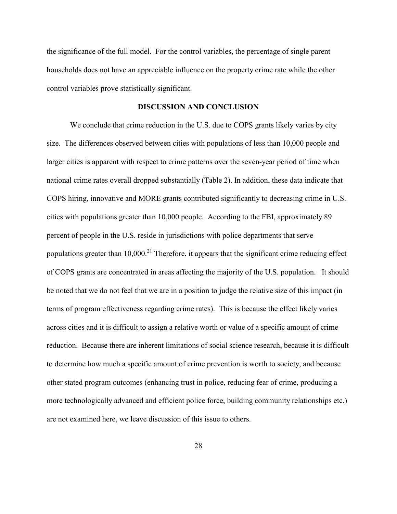the significance of the full model. For the control variables, the percentage of single parent households does not have an appreciable influence on the property crime rate while the other control variables prove statistically significant.

## **DISCUSSION AND CONCLUSION**

We conclude that crime reduction in the U.S. due to COPS grants likely varies by city size. The differences observed between cities with populations of less than 10,000 people and larger cities is apparent with respect to crime patterns over the seven-year period of time when national crime rates overall dropped substantially (Table 2). In addition, these data indicate that COPS hiring, innovative and MORE grants contributed significantly to decreasing crime in U.S. cities with populations greater than 10,000 people. According to the FBI, approximately 89 percent of people in the U.S. reside in jurisdictions with police departments that serve populations greater than  $10,000$ <sup>21</sup> Therefore, it appears that the significant crime reducing effect of COPS grants are concentrated in areas affecting the majority of the U.S. population. It should be noted that we do not feel that we are in a position to judge the relative size of this impact (in terms of program effectiveness regarding crime rates). This is because the effect likely varies across cities and it is difficult to assign a relative worth or value of a specific amount of crime reduction. Because there are inherent limitations of social science research, because it is difficult to determine how much a specific amount of crime prevention is worth to society, and because other stated program outcomes (enhancing trust in police, reducing fear of crime, producing a more technologically advanced and efficient police force, building community relationships etc.) are not examined here, we leave discussion of this issue to others.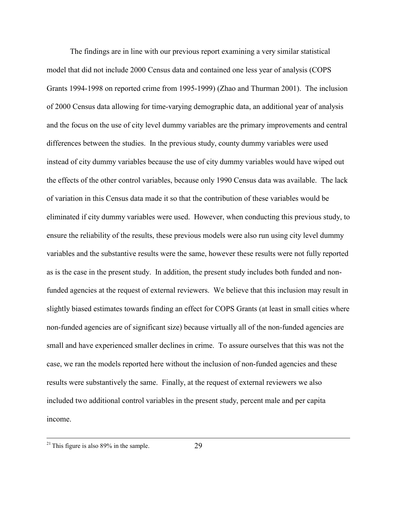The findings are in line with our previous report examining a very similar statistical model that did not include 2000 Census data and contained one less year of analysis (COPS Grants 1994-1998 on reported crime from 1995-1999) (Zhao and Thurman 2001). The inclusion of 2000 Census data allowing for time-varying demographic data, an additional year of analysis and the focus on the use of city level dummy variables are the primary improvements and central differences between the studies. In the previous study, county dummy variables were used instead of city dummy variables because the use of city dummy variables would have wiped out the effects of the other control variables, because only 1990 Census data was available. The lack of variation in this Census data made it so that the contribution of these variables would be eliminated if city dummy variables were used. However, when conducting this previous study, to ensure the reliability of the results, these previous models were also run using city level dummy variables and the substantive results were the same, however these results were not fully reported as is the case in the present study. In addition, the present study includes both funded and nonfunded agencies at the request of external reviewers. We believe that this inclusion may result in slightly biased estimates towards finding an effect for COPS Grants (at least in small cities where non-funded agencies are of significant size) because virtually all of the non-funded agencies are small and have experienced smaller declines in crime. To assure ourselves that this was not the case, we ran the models reported here without the inclusion of non-funded agencies and these results were substantively the same. Finally, at the request of external reviewers we also included two additional control variables in the present study, percent male and per capita income.

 $^{21}$  This figure is also 89% in the sample.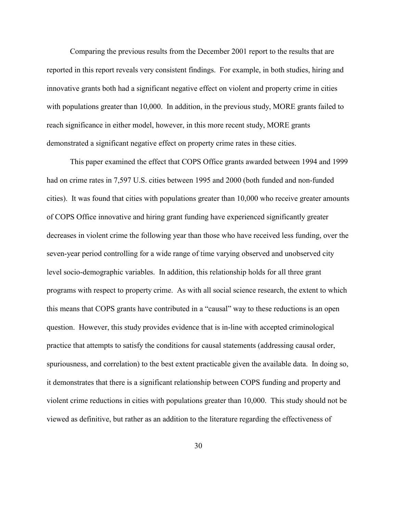Comparing the previous results from the December 2001 report to the results that are reported in this report reveals very consistent findings. For example, in both studies, hiring and innovative grants both had a significant negative effect on violent and property crime in cities with populations greater than 10,000. In addition, in the previous study, MORE grants failed to reach significance in either model, however, in this more recent study, MORE grants demonstrated a significant negative effect on property crime rates in these cities.

This paper examined the effect that COPS Office grants awarded between 1994 and 1999 had on crime rates in 7,597 U.S. cities between 1995 and 2000 (both funded and non-funded cities). It was found that cities with populations greater than 10,000 who receive greater amounts of COPS Office innovative and hiring grant funding have experienced significantly greater decreases in violent crime the following year than those who have received less funding, over the seven-year period controlling for a wide range of time varying observed and unobserved city level socio-demographic variables. In addition, this relationship holds for all three grant programs with respect to property crime. As with all social science research, the extent to which this means that COPS grants have contributed in a "causal" way to these reductions is an open question. However, this study provides evidence that is in-line with accepted criminological practice that attempts to satisfy the conditions for causal statements (addressing causal order, spuriousness, and correlation) to the best extent practicable given the available data. In doing so, it demonstrates that there is a significant relationship between COPS funding and property and violent crime reductions in cities with populations greater than 10,000. This study should not be viewed as definitive, but rather as an addition to the literature regarding the effectiveness of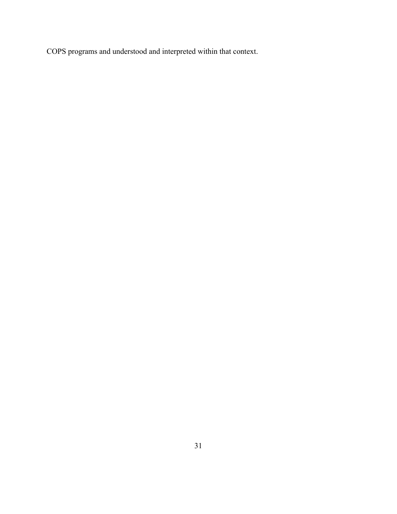COPS programs and understood and interpreted within that context.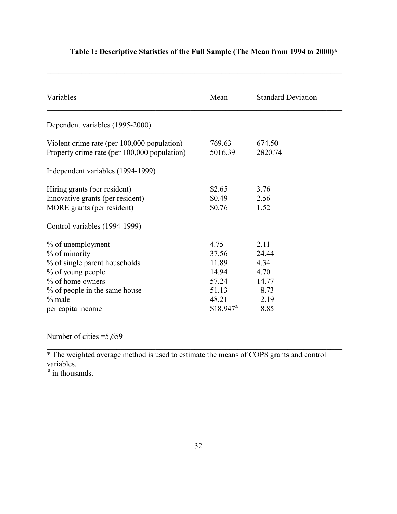| Variables                                                                                                                                                                                                       | Mean                                                                                 | <b>Standard Deviation</b>                                      |
|-----------------------------------------------------------------------------------------------------------------------------------------------------------------------------------------------------------------|--------------------------------------------------------------------------------------|----------------------------------------------------------------|
| Dependent variables (1995-2000)                                                                                                                                                                                 |                                                                                      |                                                                |
| Violent crime rate (per 100,000 population)<br>Property crime rate (per 100,000 population)                                                                                                                     | 769.63<br>5016.39                                                                    | 674.50<br>2820.74                                              |
| Independent variables (1994-1999)                                                                                                                                                                               |                                                                                      |                                                                |
| Hiring grants (per resident)<br>Innovative grants (per resident)<br>MORE grants (per resident)                                                                                                                  | \$2.65<br>\$0.49<br>\$0.76                                                           | 3.76<br>2.56<br>1.52                                           |
| Control variables (1994-1999)<br>% of unemployment<br>% of minority<br>% of single parent households<br>% of young people<br>% of home owners<br>% of people in the same house<br>$%$ male<br>per capita income | 4.75<br>37.56<br>11.89<br>14.94<br>57.24<br>51.13<br>48.21<br>$$18.947$ <sup>a</sup> | 2.11<br>24.44<br>4.34<br>4.70<br>14.77<br>8.73<br>2.19<br>8.85 |

## **Table 1: Descriptive Statistics of the Full Sample (The Mean from 1994 to 2000)\***

 $\mathcal{L}_\mathcal{L} = \{ \mathcal{L}_\mathcal{L} = \{ \mathcal{L}_\mathcal{L} = \{ \mathcal{L}_\mathcal{L} = \{ \mathcal{L}_\mathcal{L} = \{ \mathcal{L}_\mathcal{L} = \{ \mathcal{L}_\mathcal{L} = \{ \mathcal{L}_\mathcal{L} = \{ \mathcal{L}_\mathcal{L} = \{ \mathcal{L}_\mathcal{L} = \{ \mathcal{L}_\mathcal{L} = \{ \mathcal{L}_\mathcal{L} = \{ \mathcal{L}_\mathcal{L} = \{ \mathcal{L}_\mathcal{L} = \{ \mathcal{L}_\mathcal{$ 

Number of cities =5,659

\* The weighted average method is used to estimate the means of COPS grants and control variables.

 $\mathcal{L}_\text{max}$  , and the contribution of the contribution of the contribution of the contribution of the contribution of the contribution of the contribution of the contribution of the contribution of the contribution of t

<sup>a</sup> in thousands.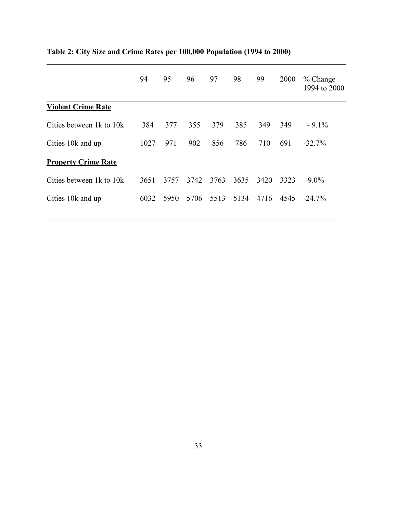|                            | 94   | 95   | 96   | 97   | 98   | 99   | 2000 | $%$ Change<br>1994 to 2000 |
|----------------------------|------|------|------|------|------|------|------|----------------------------|
| <b>Violent Crime Rate</b>  |      |      |      |      |      |      |      |                            |
| Cities between 1k to 10k   | 384  | 377  | 355  | 379  | 385  | 349  | 349  | $-9.1\%$                   |
| Cities 10k and up          | 1027 | 971  | 902  | 856  | 786  | 710  | 691  | $-32.7%$                   |
| <b>Property Crime Rate</b> |      |      |      |      |      |      |      |                            |
| Cities between 1k to 10k   | 3651 | 3757 | 3742 | 3763 | 3635 | 3420 | 3323 | $-9.0\%$                   |
| Cities 10k and up          | 6032 | 5950 | 5706 | 5513 | 5134 | 4716 | 4545 | $-24.7\%$                  |

 $\mathcal{L}_\mathcal{L} = \{ \mathcal{L}_\mathcal{L} = \{ \mathcal{L}_\mathcal{L} = \{ \mathcal{L}_\mathcal{L} = \{ \mathcal{L}_\mathcal{L} = \{ \mathcal{L}_\mathcal{L} = \{ \mathcal{L}_\mathcal{L} = \{ \mathcal{L}_\mathcal{L} = \{ \mathcal{L}_\mathcal{L} = \{ \mathcal{L}_\mathcal{L} = \{ \mathcal{L}_\mathcal{L} = \{ \mathcal{L}_\mathcal{L} = \{ \mathcal{L}_\mathcal{L} = \{ \mathcal{L}_\mathcal{L} = \{ \mathcal{L}_\mathcal{$ 

# **Table 2: City Size and Crime Rates per 100,000 Population (1994 to 2000)**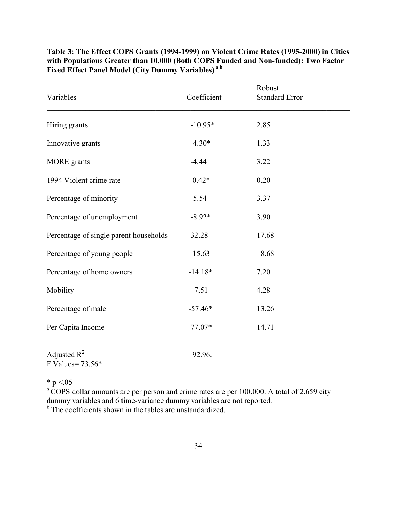| Variables                              | Coefficient | Robust<br><b>Standard Error</b> |  |
|----------------------------------------|-------------|---------------------------------|--|
| Hiring grants                          | $-10.95*$   | 2.85                            |  |
| Innovative grants                      | $-4.30*$    | 1.33                            |  |
| <b>MORE</b> grants                     | $-4.44$     | 3.22                            |  |
| 1994 Violent crime rate                | $0.42*$     | 0.20                            |  |
| Percentage of minority                 | $-5.54$     | 3.37                            |  |
| Percentage of unemployment             | $-8.92*$    | 3.90                            |  |
| Percentage of single parent households | 32.28       | 17.68                           |  |
| Percentage of young people             | 15.63       | 8.68                            |  |
| Percentage of home owners              | $-14.18*$   | 7.20                            |  |
| Mobility                               | 7.51        | 4.28                            |  |
| Percentage of male                     | $-57.46*$   | 13.26                           |  |
| Per Capita Income                      | 77.07*      | 14.71                           |  |
| Adjusted $R^2$<br>F Values= 73.56*     | 92.96.      |                                 |  |

**Table 3: The Effect COPS Grants (1994-1999) on Violent Crime Rates (1995-2000) in Cities with Populations Greater than 10,000 (Both COPS Funded and Non-funded): Two Factor Fixed Effect Panel Model (City Dummy Variables) a b**

 $* p < 05$ 

<sup>a</sup>COPS dollar amounts are per person and crime rates are per 100,000. A total of 2,659 city dummy variables and 6 time-variance dummy variables are not reported.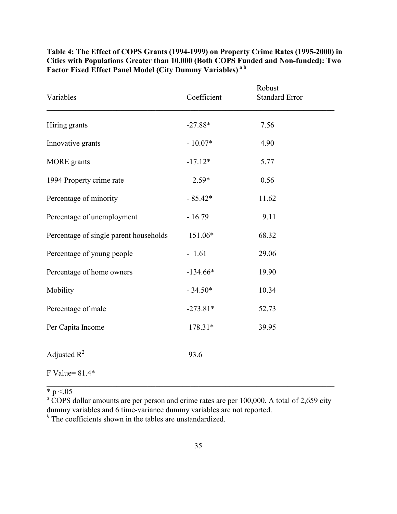| Variables                              | Coefficient | Robust<br><b>Standard Error</b> |
|----------------------------------------|-------------|---------------------------------|
| Hiring grants                          | $-27.88*$   | 7.56                            |
| Innovative grants                      | $-10.07*$   | 4.90                            |
| <b>MORE</b> grants                     | $-17.12*$   | 5.77                            |
| 1994 Property crime rate               | $2.59*$     | 0.56                            |
| Percentage of minority                 | $-85.42*$   | 11.62                           |
| Percentage of unemployment             | $-16.79$    | 9.11                            |
| Percentage of single parent households | 151.06*     | 68.32                           |
| Percentage of young people             | $-1.61$     | 29.06                           |
| Percentage of home owners              | $-134.66*$  | 19.90                           |
| Mobility                               | $-34.50*$   | 10.34                           |
| Percentage of male                     | $-273.81*$  | 52.73                           |
| Per Capita Income                      | 178.31*     | 39.95                           |
| Adjusted $R^2$                         | 93.6        |                                 |
| F Value= $81.4*$                       |             |                                 |

**Table 4: The Effect of COPS Grants (1994-1999) on Property Crime Rates (1995-2000) in Cities with Populations Greater than 10,000 (Both COPS Funded and Non-funded): Two Factor Fixed Effect Panel Model (City Dummy Variables) a b**

\* p  $\le 0.05$ 

 $a \overline{C}$  COPS dollar amounts are per person and crime rates are per 100,000. A total of 2,659 city dummy variables and 6 time-variance dummy variables are not reported.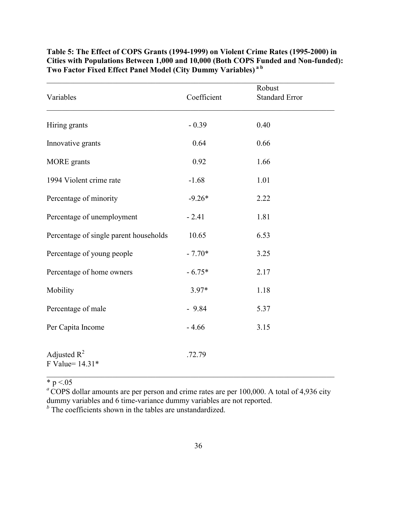| Variables                              | Coefficient | Robust<br><b>Standard Error</b> |
|----------------------------------------|-------------|---------------------------------|
| Hiring grants                          | $-0.39$     | 0.40                            |
| Innovative grants                      | 0.64        | 0.66                            |
| <b>MORE</b> grants                     | 0.92        | 1.66                            |
| 1994 Violent crime rate                | $-1.68$     | 1.01                            |
| Percentage of minority                 | $-9.26*$    | 2.22                            |
| Percentage of unemployment             | $-2.41$     | 1.81                            |
| Percentage of single parent households | 10.65       | 6.53                            |
| Percentage of young people             | $-7.70*$    | 3.25                            |
| Percentage of home owners              | $-6.75*$    | 2.17                            |
| Mobility                               | $3.97*$     | 1.18                            |
| Percentage of male                     | $-9.84$     | 5.37                            |
| Per Capita Income                      | $-4.66$     | 3.15                            |
| Adjusted $R^2$<br>F Value= 14.31*      | .72.79      |                                 |

**Table 5: The Effect of COPS Grants (1994-1999) on Violent Crime Rates (1995-2000) in Cities with Populations Between 1,000 and 10,000 (Both COPS Funded and Non-funded): Two Factor Fixed Effect Panel Model (City Dummy Variables) a b**

 $* p < 05$ 

<sup>a</sup>COPS dollar amounts are per person and crime rates are per 100,000. A total of 4,936 city dummy variables and 6 time-variance dummy variables are not reported.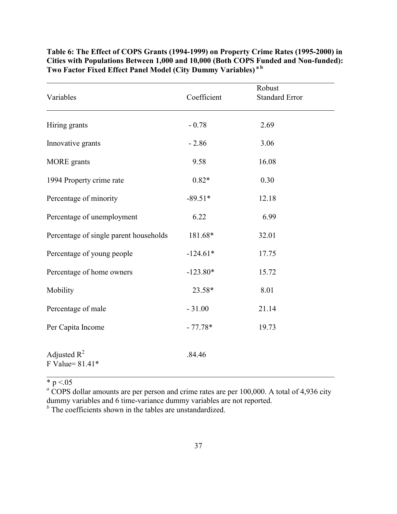|                                        |             | Robust                |
|----------------------------------------|-------------|-----------------------|
| Variables                              | Coefficient | <b>Standard Error</b> |
| Hiring grants                          | $-0.78$     | 2.69                  |
| Innovative grants                      | $-2.86$     | 3.06                  |
| <b>MORE</b> grants                     | 9.58        | 16.08                 |
| 1994 Property crime rate               | $0.82*$     | 0.30                  |
| Percentage of minority                 | $-89.51*$   | 12.18                 |
| Percentage of unemployment             | 6.22        | 6.99                  |
| Percentage of single parent households | 181.68*     | 32.01                 |
| Percentage of young people             | $-124.61*$  | 17.75                 |
| Percentage of home owners              | $-123.80*$  | 15.72                 |
| Mobility                               | 23.58*      | 8.01                  |
| Percentage of male                     | $-31.00$    | 21.14                 |
| Per Capita Income                      | $-77.78*$   | 19.73                 |
| Adjusted $R^2$<br>F Value= $81.41*$    | .84.46      |                       |

**Table 6: The Effect of COPS Grants (1994-1999) on Property Crime Rates (1995-2000) in Cities with Populations Between 1,000 and 10,000 (Both COPS Funded and Non-funded): Two Factor Fixed Effect Panel Model (City Dummy Variables) a b**

 $* p < 05$ 

 $a$  COPS dollar amounts are per person and crime rates are per 100,000. A total of 4,936 city dummy variables and 6 time-variance dummy variables are not reported.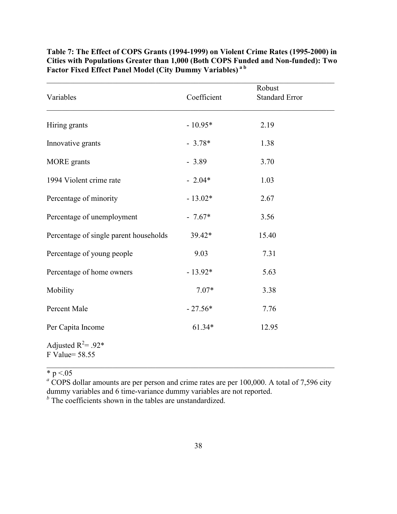| Variables                               | Coefficient | Robust<br><b>Standard Error</b> |
|-----------------------------------------|-------------|---------------------------------|
| Hiring grants                           | $-10.95*$   | 2.19                            |
| Innovative grants                       | $-3.78*$    | 1.38                            |
| <b>MORE</b> grants                      | $-3.89$     | 3.70                            |
| 1994 Violent crime rate                 | $-2.04*$    | 1.03                            |
| Percentage of minority                  | $-13.02*$   | 2.67                            |
| Percentage of unemployment              | $-7.67*$    | 3.56                            |
| Percentage of single parent households  | 39.42*      | 15.40                           |
| Percentage of young people              | 9.03        | 7.31                            |
| Percentage of home owners               | $-13.92*$   | 5.63                            |
| Mobility                                | $7.07*$     | 3.38                            |
| Percent Male                            | $-27.56*$   | 7.76                            |
| Per Capita Income                       | $61.34*$    | 12.95                           |
| Adjusted $R^2$ = .92*<br>F Value= 58.55 |             |                                 |

**Table 7: The Effect of COPS Grants (1994-1999) on Violent Crime Rates (1995-2000) in Cities with Populations Greater than 1,000 (Both COPS Funded and Non-funded): Two Factor Fixed Effect Panel Model (City Dummy Variables) a b**

\* p  $\le 0.05$ 

 $a \overline{C}$  COPS dollar amounts are per person and crime rates are per 100,000. A total of 7,596 city dummy variables and 6 time-variance dummy variables are not reported. *b* The coefficients shown in the tables are unstandardized.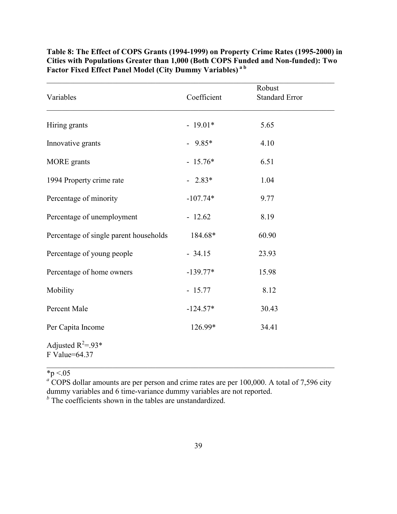| Variables                              | Coefficient | Robust<br><b>Standard Error</b> |  |
|----------------------------------------|-------------|---------------------------------|--|
| Hiring grants                          | $-19.01*$   | 5.65                            |  |
| Innovative grants                      | $-9.85*$    | 4.10                            |  |
| <b>MORE</b> grants                     | $-15.76*$   | 6.51                            |  |
| 1994 Property crime rate               | $-2.83*$    | 1.04                            |  |
| Percentage of minority                 | $-107.74*$  | 9.77                            |  |
| Percentage of unemployment             | $-12.62$    | 8.19                            |  |
| Percentage of single parent households | 184.68*     | 60.90                           |  |
| Percentage of young people             | $-34.15$    | 23.93                           |  |
| Percentage of home owners              | $-139.77*$  | 15.98                           |  |
| Mobility                               | $-15.77$    | 8.12                            |  |
| Percent Male                           | $-124.57*$  | 30.43                           |  |
| Per Capita Income                      | 126.99*     | 34.41                           |  |
| Adjusted $R^2 = 93*$<br>F Value=64.37  |             |                                 |  |

**Table 8: The Effect of COPS Grants (1994-1999) on Property Crime Rates (1995-2000) in Cities with Populations Greater than 1,000 (Both COPS Funded and Non-funded): Two Factor Fixed Effect Panel Model (City Dummy Variables) a b**

 $\mathcal{L}_\text{max}$  , and the contribution of the contribution of the contribution of the contribution of the contribution of the contribution of the contribution of the contribution of the contribution of the contribution of t

\*p <.05 *a* COPS dollar amounts are per person and crime rates are per 100,000. A total of 7,596 city dummy variables and 6 time-variance dummy variables are not reported. *b* The coefficients shown in the tables are unstandardized.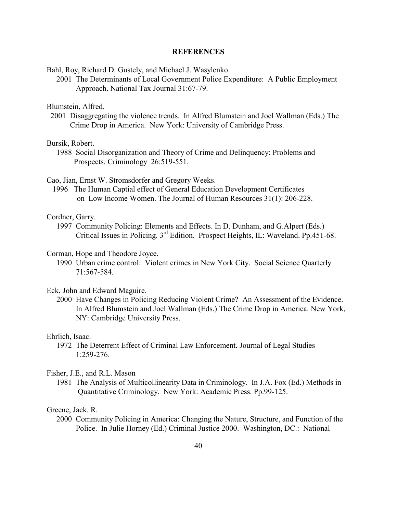#### **REFERENCES**

Bahl, Roy, Richard D. Gustely, and Michael J. Wasylenko.

2001 The Determinants of Local Government Police Expenditure: A Public Employment Approach. National Tax Journal 31:67-79.

Blumstein, Alfred.

2001 Disaggregating the violence trends. In Alfred Blumstein and Joel Wallman (Eds.) The Crime Drop in America. New York: University of Cambridge Press.

Bursik, Robert.

 1988 Social Disorganization and Theory of Crime and Delinquency: Problems and Prospects. Criminology 26:519-551.

Cao, Jian, Ernst W. Stromsdorfer and Gregory Weeks.

 1996 The Human Captial effect of General Education Development Certificates on Low Income Women. The Journal of Human Resources 31(1): 206-228.

Cordner, Garry.

 1997 Community Policing: Elements and Effects. In D. Dunham, and G.Alpert (Eds.) Critical Issues in Policing. 3rd Edition. Prospect Heights, IL: Waveland. Pp.451-68.

#### Corman, Hope and Theodore Joyce.

 1990 Urban crime control: Violent crimes in New York City. Social Science Quarterly 71:567-584.

#### Eck, John and Edward Maguire.

 2000 Have Changes in Policing Reducing Violent Crime? An Assessment of the Evidence. In Alfred Blumstein and Joel Wallman (Eds.) The Crime Drop in America. New York, NY: Cambridge University Press.

## Ehrlich, Isaac.

 1972 The Deterrent Effect of Criminal Law Enforcement. Journal of Legal Studies 1:259-276.

#### Fisher, J.E., and R.L. Mason

 1981 The Analysis of Multicollinearity Data in Criminology. In J.A. Fox (Ed.) Methods in Quantitative Criminology. New York: Academic Press. Pp.99-125.

#### Greene, Jack. R.

2000 Community Policing in America: Changing the Nature, Structure, and Function of the Police. In Julie Horney (Ed.) Criminal Justice 2000. Washington, DC.: National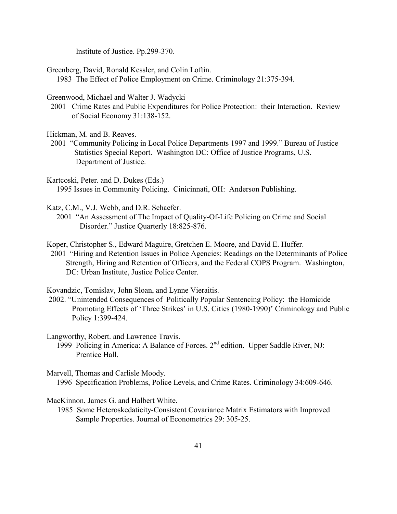Institute of Justice. Pp.299-370.

Greenberg, David, Ronald Kessler, and Colin Loftin.

1983 The Effect of Police Employment on Crime. Criminology 21:375-394.

Greenwood, Michael and Walter J. Wadycki

2001 Crime Rates and Public Expenditures for Police Protection: their Interaction. Review of Social Economy 31:138-152.

Hickman, M. and B. Reaves.

- 2001 "Community Policing in Local Police Departments 1997 and 1999." Bureau of Justice Statistics Special Report. Washington DC: Office of Justice Programs, U.S. Department of Justice.
- Kartcoski, Peter. and D. Dukes (Eds.) 1995 Issues in Community Policing. Cinicinnati, OH: Anderson Publishing.

Katz, C.M., V.J. Webb, and D.R. Schaefer.

 2001 "An Assessment of The Impact of Quality-Of-Life Policing on Crime and Social Disorder." Justice Quarterly 18:825-876.

Koper, Christopher S., Edward Maguire, Gretchen E. Moore, and David E. Huffer.

2001 "Hiring and Retention Issues in Police Agencies: Readings on the Determinants of Police Strength, Hiring and Retention of Officers, and the Federal COPS Program. Washington, DC: Urban Institute, Justice Police Center.

Kovandzic, Tomislav, John Sloan, and Lynne Vieraitis.

 2002. "Unintended Consequences of Politically Popular Sentencing Policy: the Homicide Promoting Effects of 'Three Strikes' in U.S. Cities (1980-1990)' Criminology and Public Policy 1:399-424.

Langworthy, Robert. and Lawrence Travis.

1999 Policing in America: A Balance of Forces. 2nd edition. Upper Saddle River, NJ: Prentice Hall.

Marvell, Thomas and Carlisle Moody. 1996 Specification Problems, Police Levels, and Crime Rates. Criminology 34:609-646.

MacKinnon, James G. and Halbert White.

 1985 Some Heteroskedaticity-Consistent Covariance Matrix Estimators with Improved Sample Properties. Journal of Econometrics 29: 305-25.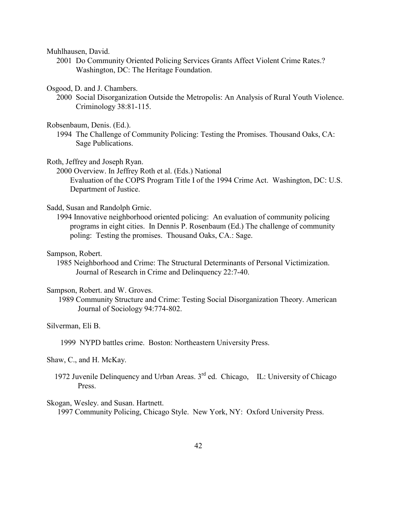Muhlhausen, David.

 2001 Do Community Oriented Policing Services Grants Affect Violent Crime Rates.? Washington, DC: The Heritage Foundation.

Osgood, D. and J. Chambers.

- 2000 Social Disorganization Outside the Metropolis: An Analysis of Rural Youth Violence. Criminology 38:81-115.
- Robsenbaum, Denis. (Ed.).
	- 1994 The Challenge of Community Policing: Testing the Promises. Thousand Oaks, CA: Sage Publications.

#### Roth, Jeffrey and Joseph Ryan.

 2000 Overview. In Jeffrey Roth et al. (Eds.) National Evaluation of the COPS Program Title I of the 1994 Crime Act. Washington, DC: U.S. Department of Justice.

#### Sadd, Susan and Randolph Grnic.

 1994 Innovative neighborhood oriented policing: An evaluation of community policing programs in eight cities. In Dennis P. Rosenbaum (Ed.) The challenge of community poling: Testing the promises. Thousand Oaks, CA.: Sage.

#### Sampson, Robert.

 1985 Neighborhood and Crime: The Structural Determinants of Personal Victimization. Journal of Research in Crime and Delinquency 22:7-40.

#### Sampson, Robert. and W. Groves.

1989 Community Structure and Crime: Testing Social Disorganization Theory. American Journal of Sociology 94:774-802.

#### Silverman, Eli B.

1999 NYPD battles crime. Boston: Northeastern University Press.

#### Shaw, C., and H. McKay.

1972 Juvenile Delinquency and Urban Areas.  $3<sup>rd</sup>$  ed. Chicago, IL: University of Chicago Press.

#### Skogan, Wesley. and Susan. Hartnett.

1997 Community Policing, Chicago Style. New York, NY: Oxford University Press.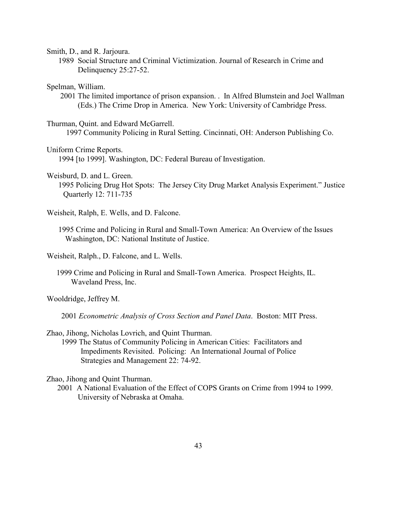Smith, D., and R. Jarjoura.

1989 Social Structure and Criminal Victimization. Journal of Research in Crime and Delinquency 25:27-52.

Spelman, William.

 2001 The limited importance of prison expansion. . In Alfred Blumstein and Joel Wallman (Eds.) The Crime Drop in America. New York: University of Cambridge Press.

Thurman, Quint. and Edward McGarrell.

1997 Community Policing in Rural Setting. Cincinnati, OH: Anderson Publishing Co.

Uniform Crime Reports.

1994 [to 1999]. Washington, DC: Federal Bureau of Investigation.

Weisburd, D. and L. Green.

 1995 Policing Drug Hot Spots: The Jersey City Drug Market Analysis Experiment." Justice Quarterly 12: 711-735

Weisheit, Ralph, E. Wells, and D. Falcone.

 1995 Crime and Policing in Rural and Small-Town America: An Overview of the Issues Washington, DC: National Institute of Justice.

Weisheit, Ralph., D. Falcone, and L. Wells.

 1999 Crime and Policing in Rural and Small-Town America. Prospect Heights, IL. Waveland Press, Inc.

Wooldridge, Jeffrey M.

2001 *Econometric Analysis of Cross Section and Panel Data*. Boston: MIT Press.

Zhao, Jihong, Nicholas Lovrich, and Quint Thurman.

1999 The Status of Community Policing in American Cities: Facilitators and Impediments Revisited. Policing: An International Journal of Police Strategies and Management 22: 74-92.

Zhao, Jihong and Quint Thurman.

2001 A National Evaluation of the Effect of COPS Grants on Crime from 1994 to 1999. University of Nebraska at Omaha.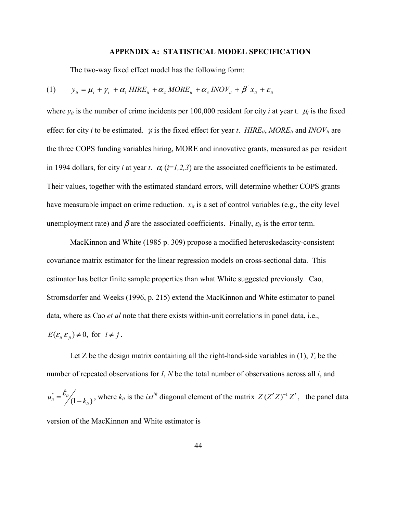#### **APPENDIX A: STATISTICAL MODEL SPECIFICATION**

The two-way fixed effect model has the following form:

$$
(1) \qquad y_{it} = \mu_i + \gamma_t + \alpha_1 HIRE_{it} + \alpha_2 MORE_{it} + \alpha_3 INOV_{it} + \beta' x_{it} + \varepsilon_{it}
$$

where  $y_{it}$  is the number of crime incidents per 100,000 resident for city *i* at year t.  $\mu_i$  is the fixed effect for city *i* to be estimated. γ*t* is the fixed effect for year *t*. *HIREit*, *MOREit* and *INOVit* are the three COPS funding variables hiring, MORE and innovative grants, measured as per resident in 1994 dollars, for city *i* at year *t*.  $\alpha_i$  ( $i=1,2,3$ ) are the associated coefficients to be estimated. Their values, together with the estimated standard errors, will determine whether COPS grants have measurable impact on crime reduction.  $x_{it}$  is a set of control variables (e.g., the city level unemployment rate) and  $\beta$  are the associated coefficients. Finally,  $\varepsilon$ <sub>*it*</sub> is the error term.

MacKinnon and White (1985 p. 309) propose a modified heteroskedascity-consistent covariance matrix estimator for the linear regression models on cross-sectional data. This estimator has better finite sample properties than what White suggested previously. Cao, Stromsdorfer and Weeks (1996, p. 215) extend the MacKinnon and White estimator to panel data, where as Cao *et al* note that there exists within-unit correlations in panel data, i.e.,

$$
E(\varepsilon_i \varepsilon_{jt}) \neq 0
$$
, for  $i \neq j$ .

Let Z be the design matrix containing all the right-hand-side variables in  $(1)$ ,  $T<sub>i</sub>$  be the number of repeated observations for *I*, *N* be the total number of observations across all *i*, and  $\hat{\epsilon}_{it} = \frac{\hat{\epsilon}_{it}}{(1 - k_{it})}$  $u_{tt}^* = \frac{\varepsilon_{tt}}{(1 - k_{tt})}$ , where  $k_{tt}$  is the *ixt<sup>th</sup>* diagonal element of the matrix *Z* (*Z' Z*)<sup>-1</sup> *Z'*, the panel data version of the MacKinnon and White estimator is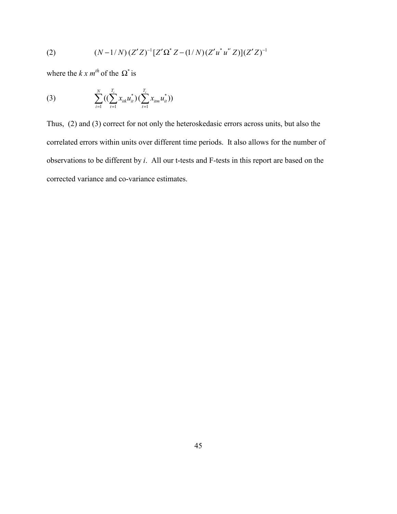(2) 
$$
(N-1/N)(Z'Z)^{-1}[Z'\Omega^*Z-(1/N)(Z'u^*u^*Z)](Z'Z)^{-1}
$$

where the  $k x m^{th}$  of the  $\Omega^*$  is

(3) 
$$
\sum_{i=1}^{N} \left( \left( \sum_{t=1}^{T_i} x_{itk} u_{it}^* \right) \left( \sum_{t=1}^{T_i} x_{itm} u_{it}^* \right) \right)
$$

Thus, (2) and (3) correct for not only the heteroskedasic errors across units, but also the correlated errors within units over different time periods. It also allows for the number of observations to be different by *i*. All our t-tests and F-tests in this report are based on the corrected variance and co-variance estimates.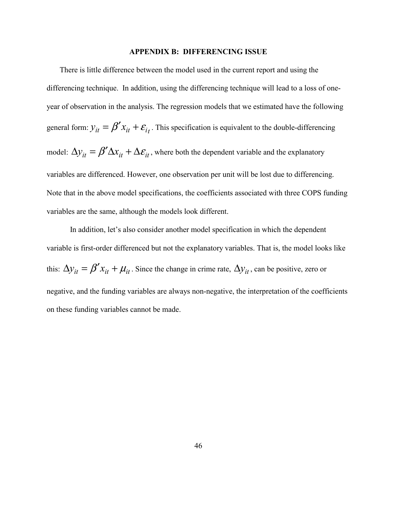#### **APPENDIX B: DIFFERENCING ISSUE**

There is little difference between the model used in the current report and using the differencing technique. In addition, using the differencing technique will lead to a loss of oneyear of observation in the analysis. The regression models that we estimated have the following general form:  $y_{it} = \beta' x_{it} + \varepsilon_{it}$ . This specification is equivalent to the double-differencing model:  $\Delta y_{it} = \beta' \Delta x_{it} + \Delta \varepsilon_{it}$ , where both the dependent variable and the explanatory variables are differenced. However, one observation per unit will be lost due to differencing. Note that in the above model specifications, the coefficients associated with three COPS funding variables are the same, although the models look different.

In addition, let's also consider another model specification in which the dependent variable is first-order differenced but not the explanatory variables. That is, the model looks like this:  $\Delta y_{it} = \beta' x_{it} + \mu_{it}$ . Since the change in crime rate,  $\Delta y_{it}$ , can be positive, zero or negative, and the funding variables are always non-negative, the interpretation of the coefficients on these funding variables cannot be made.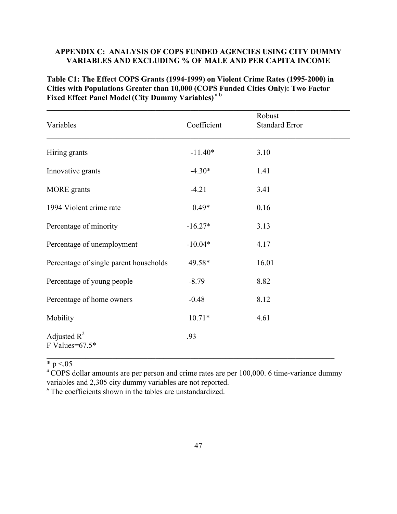## **APPENDIX C: ANALYSIS OF COPS FUNDED AGENCIES USING CITY DUMMY VARIABLES AND EXCLUDING % OF MALE AND PER CAPITA INCOME**

**Table C1: The Effect COPS Grants (1994-1999) on Violent Crime Rates (1995-2000) in Cities with Populations Greater than 10,000 (COPS Funded Cities Only): Two Factor Fixed Effect Panel Model (City Dummy Variables) a b**

| Variables                              | Coefficient | Robust<br><b>Standard Error</b> |  |
|----------------------------------------|-------------|---------------------------------|--|
| Hiring grants                          | $-11.40*$   | 3.10                            |  |
| Innovative grants                      | $-4.30*$    | 1.41                            |  |
| <b>MORE</b> grants                     | $-4.21$     | 3.41                            |  |
| 1994 Violent crime rate                | $0.49*$     | 0.16                            |  |
| Percentage of minority                 | $-16.27*$   | 3.13                            |  |
| Percentage of unemployment             | $-10.04*$   | 4.17                            |  |
| Percentage of single parent households | 49.58*      | 16.01                           |  |
| Percentage of young people             | $-8.79$     | 8.82                            |  |
| Percentage of home owners              | $-0.48$     | 8.12                            |  |
| Mobility                               | $10.71*$    | 4.61                            |  |
| Adjusted $R^2$<br>F Values= $67.5*$    | .93         |                                 |  |

\* p  $\le 0.05$ 

<sup>a</sup>COPS dollar amounts are per person and crime rates are per 100,000. 6 time-variance dummy variables and 2,305 city dummy variables are not reported.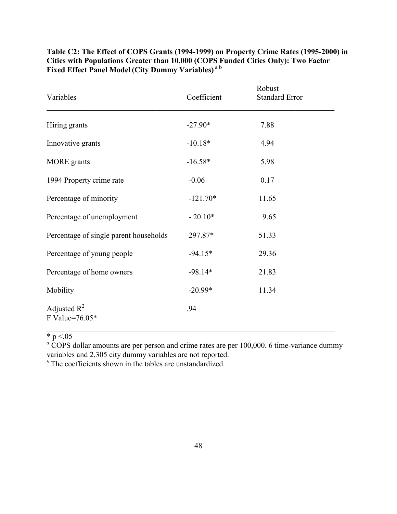| Variables                              | Coefficient | Robust<br><b>Standard Error</b> |
|----------------------------------------|-------------|---------------------------------|
| Hiring grants                          | $-27.90*$   | 7.88                            |
| Innovative grants                      | $-10.18*$   | 4.94                            |
| MORE grants                            | $-16.58*$   | 5.98                            |
| 1994 Property crime rate               | $-0.06$     | 0.17                            |
| Percentage of minority                 | $-121.70*$  | 11.65                           |
| Percentage of unemployment             | $-20.10*$   | 9.65                            |
| Percentage of single parent households | 297.87*     | 51.33                           |
| Percentage of young people             | $-94.15*$   | 29.36                           |
| Percentage of home owners              | $-98.14*$   | 21.83                           |
| Mobility                               | $-20.99*$   | 11.34                           |
| Adjusted $R^2$<br>F Value=76.05*       | .94         |                                 |

**Table C2: The Effect of COPS Grants (1994-1999) on Property Crime Rates (1995-2000) in Cities with Populations Greater than 10,000 (COPS Funded Cities Only): Two Factor Fixed Effect Panel Model (City Dummy Variables) a b**

\*  $p < 05$ 

<sup>*a*</sup> COPS dollar amounts are per person and crime rates are per 100,000. 6 time-variance dummy variables and 2,305 city dummy variables are not reported.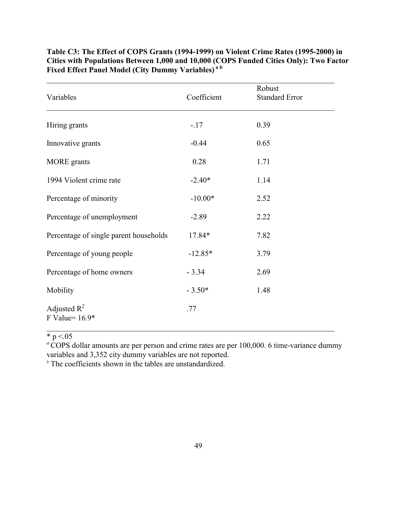| Variables                              | Coefficient | Robust<br><b>Standard Error</b> |
|----------------------------------------|-------------|---------------------------------|
| Hiring grants                          | $-17$       | 0.39                            |
| Innovative grants                      | $-0.44$     | 0.65                            |
| <b>MORE</b> grants                     | 0.28        | 1.71                            |
| 1994 Violent crime rate                | $-2.40*$    | 1.14                            |
| Percentage of minority                 | $-10.00*$   | 2.52                            |
| Percentage of unemployment             | $-2.89$     | 2.22                            |
| Percentage of single parent households | 17.84*      | 7.82                            |
| Percentage of young people             | $-12.85*$   | 3.79                            |
| Percentage of home owners              | $-3.34$     | 2.69                            |
| Mobility                               | $-3.50*$    | 1.48                            |
| Adjusted $R^2$<br>F Value= $16.9*$     | .77         |                                 |

**Table C3: The Effect of COPS Grants (1994-1999) on Violent Crime Rates (1995-2000) in Cities with Populations Between 1,000 and 10,000 (COPS Funded Cities Only): Two Factor Fixed Effect Panel Model (City Dummy Variables) a b**

\*  $p < 05$ 

<sup>a</sup>COPS dollar amounts are per person and crime rates are per 100,000. 6 time-variance dummy variables and 3,352 city dummy variables are not reported.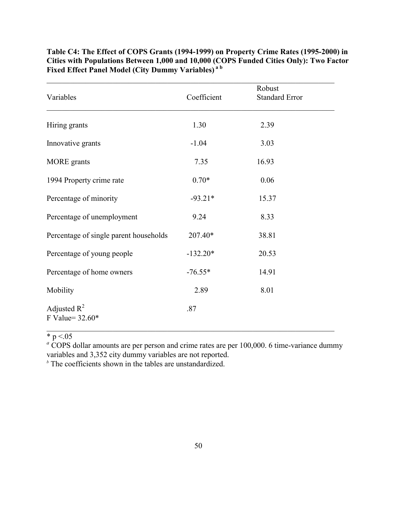| Variables                              | Coefficient | Robust<br><b>Standard Error</b> |
|----------------------------------------|-------------|---------------------------------|
| Hiring grants                          | 1.30        | 2.39                            |
| Innovative grants                      | $-1.04$     | 3.03                            |
| <b>MORE</b> grants                     | 7.35        | 16.93                           |
| 1994 Property crime rate               | $0.70*$     | 0.06                            |
| Percentage of minority                 | $-93.21*$   | 15.37                           |
| Percentage of unemployment             | 9.24        | 8.33                            |
| Percentage of single parent households | 207.40*     | 38.81                           |
| Percentage of young people             | $-132.20*$  | 20.53                           |
| Percentage of home owners              | $-76.55*$   | 14.91                           |
| Mobility                               | 2.89        | 8.01                            |
| Adjusted $R^2$<br>F Value= 32.60*      | .87         |                                 |

**Table C4: The Effect of COPS Grants (1994-1999) on Property Crime Rates (1995-2000) in Cities with Populations Between 1,000 and 10,000 (COPS Funded Cities Only): Two Factor Fixed Effect Panel Model (City Dummy Variables) a b**

\*  $p < 05$ 

<sup>*a*</sup> COPS dollar amounts are per person and crime rates are per 100,000. 6 time-variance dummy variables and 3,352 city dummy variables are not reported.

 $\_$  , and the set of the set of the set of the set of the set of the set of the set of the set of the set of the set of the set of the set of the set of the set of the set of the set of the set of the set of the set of th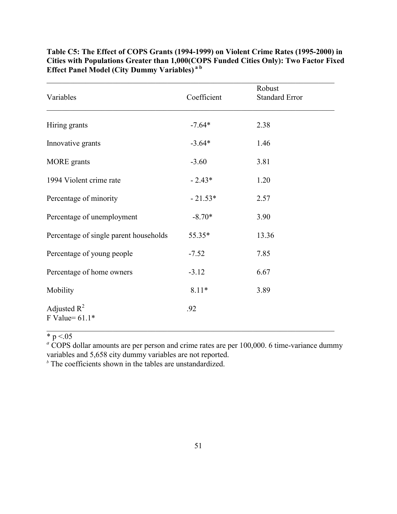| Variables                              | Coefficient | Robust<br><b>Standard Error</b> |
|----------------------------------------|-------------|---------------------------------|
| Hiring grants                          | $-7.64*$    | 2.38                            |
| Innovative grants                      | $-3.64*$    | 1.46                            |
| <b>MORE</b> grants                     | $-3.60$     | 3.81                            |
| 1994 Violent crime rate                | $-2.43*$    | 1.20                            |
| Percentage of minority                 | $-21.53*$   | 2.57                            |
| Percentage of unemployment             | $-8.70*$    | 3.90                            |
| Percentage of single parent households | 55.35*      | 13.36                           |
| Percentage of young people             | $-7.52$     | 7.85                            |
| Percentage of home owners              | $-3.12$     | 6.67                            |
| Mobility                               | $8.11*$     | 3.89                            |
| Adjusted $R^2$<br>F Value= $61.1*$     | .92         |                                 |

**Table C5: The Effect of COPS Grants (1994-1999) on Violent Crime Rates (1995-2000) in Cities with Populations Greater than 1,000(COPS Funded Cities Only): Two Factor Fixed Effect Panel Model (City Dummy Variables) a b**

 $\mathcal{L}_\text{max}$  , and the contribution of the contribution of the contribution of the contribution of the contribution of the contribution of the contribution of the contribution of the contribution of the contribution of t

\*  $p < 05$ 

<sup>*a*</sup> COPS dollar amounts are per person and crime rates are per 100,000. 6 time-variance dummy variables and 5,658 city dummy variables are not reported.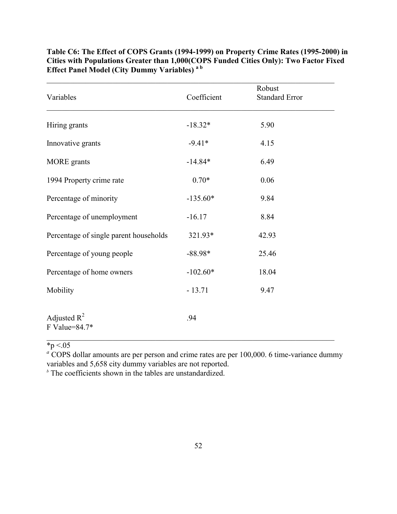| Variables                              | Coefficient | Robust<br><b>Standard Error</b> |
|----------------------------------------|-------------|---------------------------------|
| Hiring grants                          | $-18.32*$   | 5.90                            |
| Innovative grants                      | $-9.41*$    | 4.15                            |
| <b>MORE</b> grants                     | $-14.84*$   | 6.49                            |
| 1994 Property crime rate               | $0.70*$     | 0.06                            |
| Percentage of minority                 | $-135.60*$  | 9.84                            |
| Percentage of unemployment             | $-16.17$    | 8.84                            |
| Percentage of single parent households | 321.93*     | 42.93                           |
| Percentage of young people             | $-88.98*$   | 25.46                           |
| Percentage of home owners              | $-102.60*$  | 18.04                           |
| Mobility                               | $-13.71$    | 9.47                            |
| Adjusted $R^2$<br>F Value=84.7*        | .94         |                                 |

**Table C6: The Effect of COPS Grants (1994-1999) on Property Crime Rates (1995-2000) in Cities with Populations Greater than 1,000(COPS Funded Cities Only): Two Factor Fixed Effect Panel Model (City Dummy Variables) a b**

 $\sqrt{*}p < 0.05$ 

<sup>a</sup> COPS dollar amounts are per person and crime rates are per 100,000. 6 time-variance dummy

variables and 5,658 city dummy variables are not reported.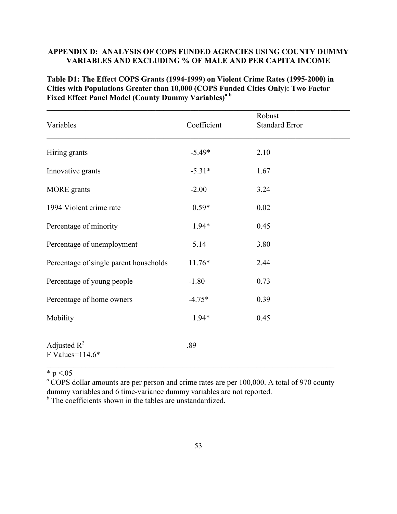## **APPENDIX D: ANALYSIS OF COPS FUNDED AGENCIES USING COUNTY DUMMY VARIABLES AND EXCLUDING % OF MALE AND PER CAPITA INCOME**

**Table D1: The Effect COPS Grants (1994-1999) on Violent Crime Rates (1995-2000) in Cities with Populations Greater than 10,000 (COPS Funded Cities Only): Two Factor Fixed Effect Panel Model (County Dummy Variables)a b**

| Variables                              | Coefficient | Robust<br><b>Standard Error</b> |  |
|----------------------------------------|-------------|---------------------------------|--|
| Hiring grants                          | $-5.49*$    | 2.10                            |  |
| Innovative grants                      | $-5.31*$    | 1.67                            |  |
| <b>MORE</b> grants                     | $-2.00$     | 3.24                            |  |
| 1994 Violent crime rate                | $0.59*$     | 0.02                            |  |
| Percentage of minority                 | $1.94*$     | 0.45                            |  |
| Percentage of unemployment             | 5.14        | 3.80                            |  |
| Percentage of single parent households | $11.76*$    | 2.44                            |  |
| Percentage of young people             | $-1.80$     | 0.73                            |  |
| Percentage of home owners              | $-4.75*$    | 0.39                            |  |
| Mobility                               | $1.94*$     | 0.45                            |  |
| Adjusted $R^2$<br>F Values=114.6*      | .89         |                                 |  |

\* p  $\le 0.05$ 

<sup>a</sup> COPS dollar amounts are per person and crime rates are per 100,000. A total of 970 county dummy variables and 6 time-variance dummy variables are not reported.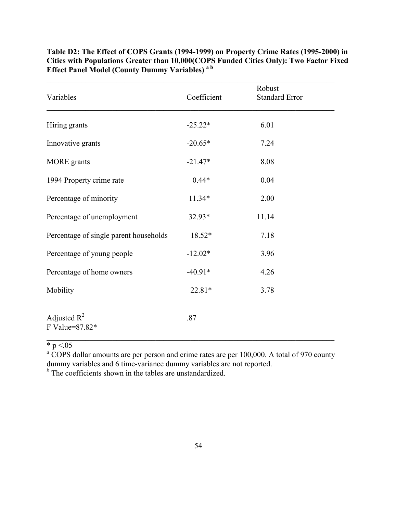| Variables                              | Coefficient | Robust<br><b>Standard Error</b> |
|----------------------------------------|-------------|---------------------------------|
| Hiring grants                          | $-25.22*$   | 6.01                            |
| Innovative grants                      | $-20.65*$   | 7.24                            |
| <b>MORE</b> grants                     | $-21.47*$   | 8.08                            |
| 1994 Property crime rate               | $0.44*$     | 0.04                            |
| Percentage of minority                 | $11.34*$    | 2.00                            |
| Percentage of unemployment             | $32.93*$    | 11.14                           |
| Percentage of single parent households | 18.52*      | 7.18                            |
| Percentage of young people             | $-12.02*$   | 3.96                            |
| Percentage of home owners              | $-40.91*$   | 4.26                            |
| Mobility                               | 22.81*      | 3.78                            |
| Adjusted $R^2$<br>F Value=87.82*       | .87         |                                 |

**Table D2: The Effect of COPS Grants (1994-1999) on Property Crime Rates (1995-2000) in Cities with Populations Greater than 10,000(COPS Funded Cities Only): Two Factor Fixed Effect Panel Model (County Dummy Variables) a b**

 $* p < 05$ 

<sup>a</sup> COPS dollar amounts are per person and crime rates are per 100,000. A total of 970 county dummy variables and 6 time-variance dummy variables are not reported.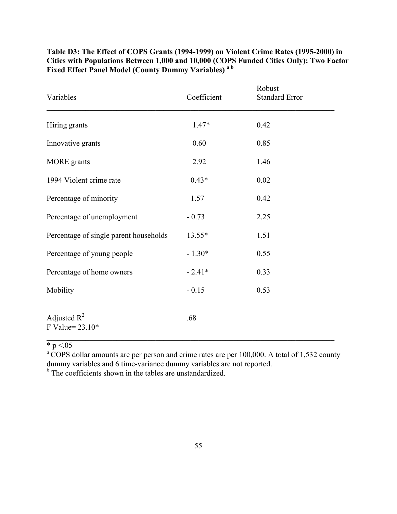| Variables                              | Coefficient | Robust<br><b>Standard Error</b> |
|----------------------------------------|-------------|---------------------------------|
| Hiring grants                          | 1.47*       | 0.42                            |
| Innovative grants                      | 0.60        | 0.85                            |
| <b>MORE</b> grants                     | 2.92        | 1.46                            |
| 1994 Violent crime rate                | $0.43*$     | 0.02                            |
| Percentage of minority                 | 1.57        | 0.42                            |
| Percentage of unemployment             | $-0.73$     | 2.25                            |
| Percentage of single parent households | 13.55*      | 1.51                            |
| Percentage of young people             | $-1.30*$    | 0.55                            |
| Percentage of home owners              | $-2.41*$    | 0.33                            |
| Mobility                               | $-0.15$     | 0.53                            |
| Adjusted $R^2$<br>F Value= $23.10*$    | .68         |                                 |

**Table D3: The Effect of COPS Grants (1994-1999) on Violent Crime Rates (1995-2000) in Cities with Populations Between 1,000 and 10,000 (COPS Funded Cities Only): Two Factor Fixed Effect Panel Model (County Dummy Variables) a b**

 $* p < 05$ 

<sup>*a*</sup> COPS dollar amounts are per person and crime rates are per 100,000. A total of 1,532 county dummy variables and 6 time-variance dummy variables are not reported.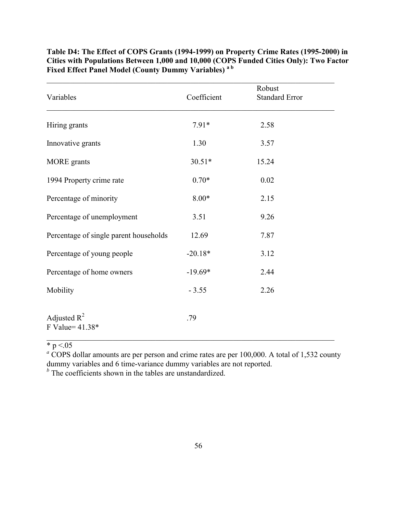| Variables                              | Coefficient | Robust<br><b>Standard Error</b> |
|----------------------------------------|-------------|---------------------------------|
| Hiring grants                          | $7.91*$     | 2.58                            |
| Innovative grants                      | 1.30        | 3.57                            |
| <b>MORE</b> grants                     | $30.51*$    | 15.24                           |
| 1994 Property crime rate               | $0.70*$     | 0.02                            |
| Percentage of minority                 | $8.00*$     | 2.15                            |
| Percentage of unemployment             | 3.51        | 9.26                            |
| Percentage of single parent households | 12.69       | 7.87                            |
| Percentage of young people             | $-20.18*$   | 3.12                            |
| Percentage of home owners              | $-19.69*$   | 2.44                            |
| Mobility                               | $-3.55$     | 2.26                            |
| Adjusted $R^2$<br>F Value= 41.38*      | .79         |                                 |

**Table D4: The Effect of COPS Grants (1994-1999) on Property Crime Rates (1995-2000) in Cities with Populations Between 1,000 and 10,000 (COPS Funded Cities Only): Two Factor Fixed Effect Panel Model (County Dummy Variables) a b**

 $* p < 05$ 

<sup>a</sup> COPS dollar amounts are per person and crime rates are per 100,000. A total of 1,532 county dummy variables and 6 time-variance dummy variables are not reported.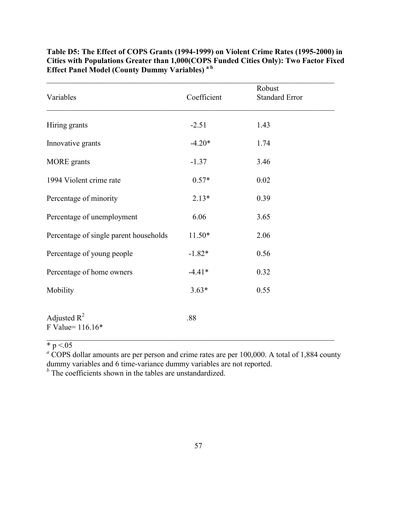| Variables                              | Coefficient | Robust<br><b>Standard Error</b> |
|----------------------------------------|-------------|---------------------------------|
| Hiring grants                          | $-2.51$     | 1.43                            |
| Innovative grants                      | $-4.20*$    | 1.74                            |
| <b>MORE</b> grants                     | $-1.37$     | 3.46                            |
| 1994 Violent crime rate                | $0.57*$     | 0.02                            |
| Percentage of minority                 | $2.13*$     | 0.39                            |
| Percentage of unemployment             | 6.06        | 3.65                            |
| Percentage of single parent households | $11.50*$    | 2.06                            |
| Percentage of young people             | $-1.82*$    | 0.56                            |
| Percentage of home owners              | $-4.41*$    | 0.32                            |
| Mobility                               | $3.63*$     | 0.55                            |
| Adjusted $R^2$<br>F Value= 116.16*     | .88         |                                 |

**Table D5: The Effect of COPS Grants (1994-1999) on Violent Crime Rates (1995-2000) in Cities with Populations Greater than 1,000(COPS Funded Cities Only): Two Factor Fixed Effect Panel Model (County Dummy Variables) a b**

 $* p < 05$ 

<sup>a</sup> COPS dollar amounts are per person and crime rates are per 100,000. A total of 1,884 county dummy variables and 6 time-variance dummy variables are not reported.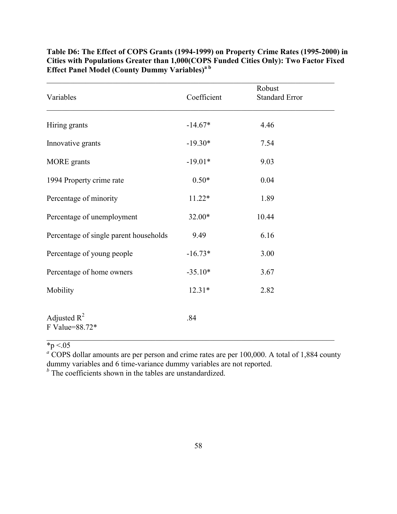| Variables                              | Coefficient | Robust<br><b>Standard Error</b> |  |
|----------------------------------------|-------------|---------------------------------|--|
| Hiring grants                          | $-14.67*$   | 4.46                            |  |
| Innovative grants                      | $-19.30*$   | 7.54                            |  |
| <b>MORE</b> grants                     | $-19.01*$   | 9.03                            |  |
| 1994 Property crime rate               | $0.50*$     | 0.04                            |  |
| Percentage of minority                 | $11.22*$    | 1.89                            |  |
| Percentage of unemployment             | 32.00*      | 10.44                           |  |
| Percentage of single parent households | 9.49        | 6.16                            |  |
| Percentage of young people             | $-16.73*$   | 3.00                            |  |
| Percentage of home owners              | $-35.10*$   | 3.67                            |  |
| Mobility                               | $12.31*$    | 2.82                            |  |
| Adjusted $R^2$<br>F Value=88.72*       | .84         |                                 |  |

**Table D6: The Effect of COPS Grants (1994-1999) on Property Crime Rates (1995-2000) in Cities with Populations Greater than 1,000(COPS Funded Cities Only): Two Factor Fixed Effect Panel Model (County Dummy Variables)a b**

 $\mathcal{L}_\text{max}$  , and the contribution of the contribution of the contribution of the contribution of the contribution of the contribution of the contribution of the contribution of the contribution of the contribution of t

 $\sqrt{*}p < 0.05$ 

<sup>a</sup> COPS dollar amounts are per person and crime rates are per 100,000. A total of 1,884 county dummy variables and 6 time-variance dummy variables are not reported.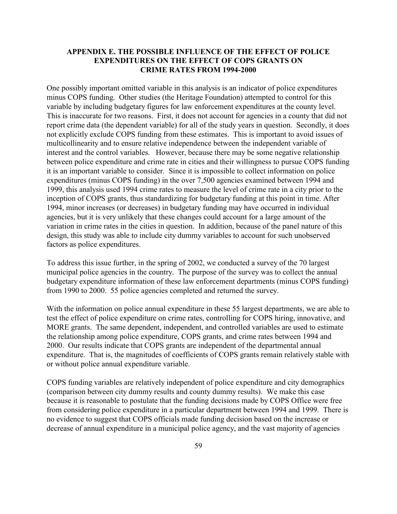## **APPENDIX E. THE POSSIBLE INFLUENCE OF THE EFFECT OF POLICE EXPENDITURES ON THE EFFECT OF COPS GRANTS ON CRIME RATES FROM 1994-2000**

One possibly important omitted variable in this analysis is an indicator of police expenditures minus COPS funding. Other studies (the Heritage Foundation) attempted to control for this variable by including budgetary figures for law enforcement expenditures at the county level. This is inaccurate for two reasons. First, it does not account for agencies in a county that did not report crime data (the dependent variable) for all of the study years in question. Secondly, it does not explicitly exclude COPS funding from these estimates. This is important to avoid issues of multicollinearity and to ensure relative independence between the independent variable of interest and the control variables. However, because there may be some negative relationship between police expenditure and crime rate in cities and their willingness to pursue COPS funding it is an important variable to consider. Since it is impossible to collect information on police expenditures (minus COPS funding) in the over 7,500 agencies examined between 1994 and 1999, this analysis used 1994 crime rates to measure the level of crime rate in a city prior to the inception of COPS grants, thus standardizing for budgetary funding at this point in time. After 1994, minor increases (or decreases) in budgetary funding may have occurred in individual agencies, but it is very unlikely that these changes could account for a large amount of the variation in crime rates in the cities in question. In addition, because of the panel nature of this design, this study was able to include city dummy variables to account for such unobserved factors as police expenditures.

To address this issue further, in the spring of 2002, we conducted a survey of the 70 largest municipal police agencies in the country. The purpose of the survey was to collect the annual budgetary expenditure information of these law enforcement departments (minus COPS funding) from 1990 to 2000. 55 police agencies completed and returned the survey.

With the information on police annual expenditure in these 55 largest departments, we are able to test the effect of police expenditure on crime rates, controlling for COPS hiring, innovative, and MORE grants. The same dependent, independent, and controlled variables are used to estimate the relationship among police expenditure, COPS grants, and crime rates between 1994 and 2000. Our results indicate that COPS grants are independent of the departmental annual expenditure. That is, the magnitudes of coefficients of COPS grants remain relatively stable with or without police annual expenditure variable.

COPS funding variables are relatively independent of police expenditure and city demographics (comparison between city dummy results and county dummy results). We make this case because it is reasonable to postulate that the funding decisions made by COPS Office were free from considering police expenditure in a particular department between 1994 and 1999. There is no evidence to suggest that COPS officials made funding decision based on the increase or decrease of annual expenditure in a municipal police agency, and the vast majority of agencies